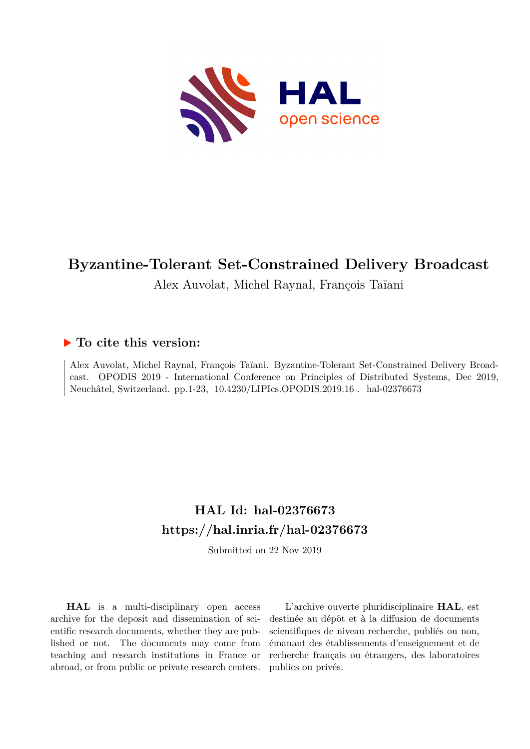

# **Byzantine-Tolerant Set-Constrained Delivery Broadcast**

## Alex Auvolat, Michel Raynal, François Taïani

## **To cite this version:**

Alex Auvolat, Michel Raynal, François Taïani. Byzantine-Tolerant Set-Constrained Delivery Broadcast. OPODIS 2019 - International Conference on Principles of Distributed Systems, Dec 2019, Neuchâtel, Switzerland. pp.1-23, 10.4230/LIPIcs.OPODIS.2019.16. hal-02376673

## **HAL Id: hal-02376673 <https://hal.inria.fr/hal-02376673>**

Submitted on 22 Nov 2019

**HAL** is a multi-disciplinary open access archive for the deposit and dissemination of scientific research documents, whether they are published or not. The documents may come from teaching and research institutions in France or abroad, or from public or private research centers.

L'archive ouverte pluridisciplinaire **HAL**, est destinée au dépôt et à la diffusion de documents scientifiques de niveau recherche, publiés ou non, émanant des établissements d'enseignement et de recherche français ou étrangers, des laboratoires publics ou privés.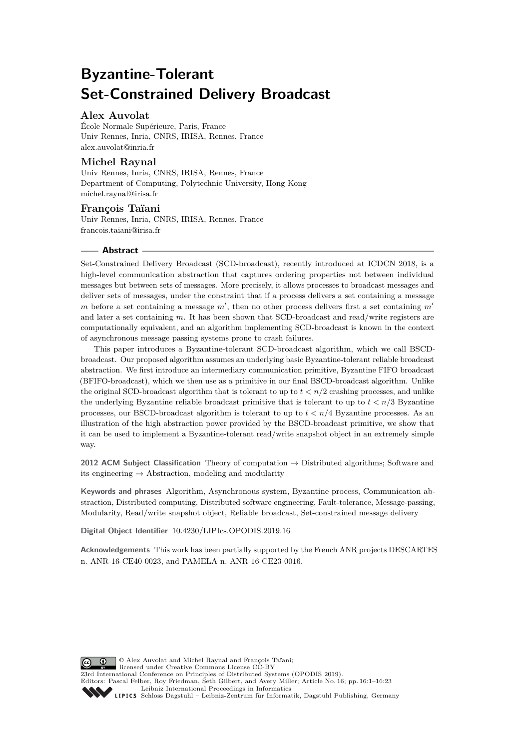# **Byzantine-Tolerant Set-Constrained Delivery Broadcast**

## **Alex Auvolat**

École Normale Supérieure, Paris, France Univ Rennes, Inria, CNRS, IRISA, Rennes, France [alex.auvolat@inria.fr](mailto:alex.auvolat@inria.fr)

## **Michel Raynal**

Univ Rennes, Inria, CNRS, IRISA, Rennes, France Department of Computing, Polytechnic University, Hong Kong [michel.raynal@irisa.fr](mailto:michel.raynal@irisa.fr)

## **François Taïani**

Univ Rennes, Inria, CNRS, IRISA, Rennes, France [francois.taiani@irisa.fr](mailto:francois.taiani@irisa.fr)

#### **Abstract**

Set-Constrained Delivery Broadcast (SCD-broadcast), recently introduced at ICDCN 2018, is a high-level communication abstraction that captures ordering properties not between individual messages but between sets of messages. More precisely, it allows processes to broadcast messages and deliver sets of messages, under the constraint that if a process delivers a set containing a message *m* before a set containing a message  $m'$ , then no other process delivers first a set containing  $m'$ and later a set containing *m*. It has been shown that SCD-broadcast and read/write registers are computationally equivalent, and an algorithm implementing SCD-broadcast is known in the context of asynchronous message passing systems prone to crash failures.

This paper introduces a Byzantine-tolerant SCD-broadcast algorithm, which we call BSCDbroadcast. Our proposed algorithm assumes an underlying basic Byzantine-tolerant reliable broadcast abstraction. We first introduce an intermediary communication primitive, Byzantine FIFO broadcast (BFIFO-broadcast), which we then use as a primitive in our final BSCD-broadcast algorithm. Unlike the original SCD-broadcast algorithm that is tolerant to up to  $t < n/2$  crashing processes, and unlike the underlying Byzantine reliable broadcast primitive that is tolerant to up to  $t < n/3$  Byzantine processes, our BSCD-broadcast algorithm is tolerant to up to  $t < n/4$  Byzantine processes. As an illustration of the high abstraction power provided by the BSCD-broadcast primitive, we show that it can be used to implement a Byzantine-tolerant read/write snapshot object in an extremely simple way.

**2012 ACM Subject Classification** Theory of computation → Distributed algorithms; Software and its engineering  $\rightarrow$  Abstraction, modeling and modularity

**Keywords and phrases** Algorithm, Asynchronous system, Byzantine process, Communication abstraction, Distributed computing, Distributed software engineering, Fault-tolerance, Message-passing, Modularity, Read/write snapshot object, Reliable broadcast, Set-constrained message delivery

**Digital Object Identifier** [10.4230/LIPIcs.OPODIS.2019.16](https://doi.org/10.4230/LIPIcs.OPODIS.2019.16)

**Acknowledgements** This work has been partially supported by the French ANR projects DESCARTES n. ANR-16-CE40-0023, and PAMELA n. ANR-16-CE23-0016.

© Alex Auvolat and Michel Raynal and François Taïani; licensed under Creative Commons License CC-BY 23rd International Conference on Principles of Distributed Systems (OPODIS 2019). Editors: Pascal Felber, Roy Friedman, Seth Gilbert, and Avery Miller; Article No. 16; pp. 16:1–16:23 [Leibniz International Proceedings in Informatics](https://www.dagstuhl.de/lipics/) [Schloss Dagstuhl – Leibniz-Zentrum für Informatik, Dagstuhl Publishing, Germany](https://www.dagstuhl.de)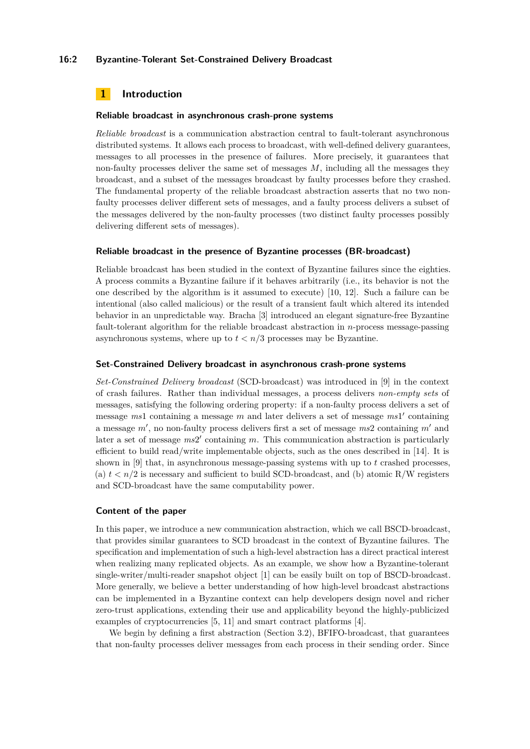#### **16:2 Byzantine-Tolerant Set-Constrained Delivery Broadcast**

## **1 Introduction**

#### **Reliable broadcast in asynchronous crash-prone systems**

*Reliable broadcast* is a communication abstraction central to fault-tolerant asynchronous distributed systems. It allows each process to broadcast, with well-defined delivery guarantees, messages to all processes in the presence of failures. More precisely, it guarantees that non-faulty processes deliver the same set of messages *M*, including all the messages they broadcast, and a subset of the messages broadcast by faulty processes before they crashed. The fundamental property of the reliable broadcast abstraction asserts that no two nonfaulty processes deliver different sets of messages, and a faulty process delivers a subset of the messages delivered by the non-faulty processes (two distinct faulty processes possibly delivering different sets of messages).

#### **Reliable broadcast in the presence of Byzantine processes (BR-broadcast)**

Reliable broadcast has been studied in the context of Byzantine failures since the eighties. A process commits a Byzantine failure if it behaves arbitrarily (i.e., its behavior is not the one described by the algorithm is it assumed to execute) [10, 12]. Such a failure can be intentional (also called malicious) or the result of a transient fault which altered its intended behavior in an unpredictable way. Bracha [3] introduced an elegant signature-free Byzantine fault-tolerant algorithm for the reliable broadcast abstraction in *n*-process message-passing asynchronous systems, where up to  $t < n/3$  processes may be Byzantine.

#### **Set-Constrained Delivery broadcast in asynchronous crash-prone systems**

*Set-Constrained Delivery broadcast* (SCD-broadcast) was introduced in [9] in the context of crash failures. Rather than individual messages, a process delivers *non-empty sets* of messages, satisfying the following ordering property: if a non-faulty process delivers a set of message *ms*1 containing a message *m* and later delivers a set of message *ms*1' containing a message  $m'$ , no non-faulty process delivers first a set of message  $ms2$  containing  $m'$  and later a set of message  $ms2'$  containing m. This communication abstraction is particularly efficient to build read/write implementable objects, such as the ones described in [14]. It is shown in [9] that, in asynchronous message-passing systems with up to *t* crashed processes, (a)  $t \leq n/2$  is necessary and sufficient to build SCD-broadcast, and (b) atomic R/W registers and SCD-broadcast have the same computability power.

#### **Content of the paper**

In this paper, we introduce a new communication abstraction, which we call BSCD-broadcast, that provides similar guarantees to SCD broadcast in the context of Byzantine failures. The specification and implementation of such a high-level abstraction has a direct practical interest when realizing many replicated objects. As an example, we show how a Byzantine-tolerant single-writer/multi-reader snapshot object [1] can be easily built on top of BSCD-broadcast. More generally, we believe a better understanding of how high-level broadcast abstractions can be implemented in a Byzantine context can help developers design novel and richer zero-trust applications, extending their use and applicability beyond the highly-publicized examples of cryptocurrencies [5, 11] and smart contract platforms [4].

We begin by defining a first abstraction (Section 3.2), BFIFO-broadcast, that guarantees that non-faulty processes deliver messages from each process in their sending order. Since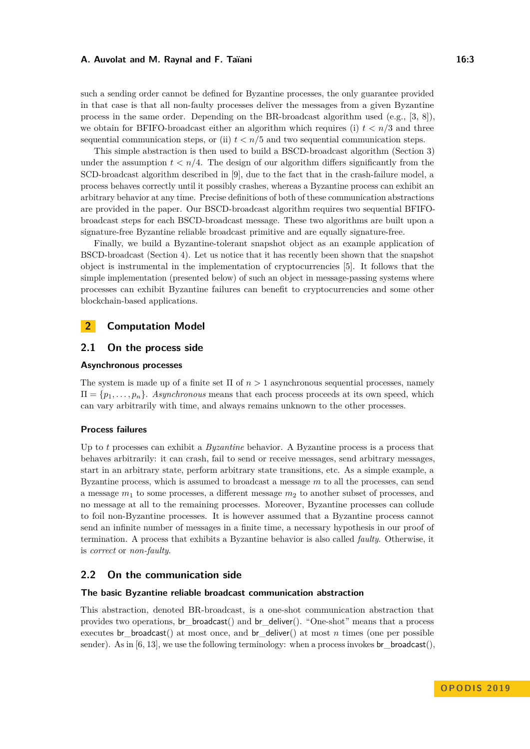#### **A. Auvolat and M. Raynal and F. Taïani 16:3 16:3 16:3**

such a sending order cannot be defined for Byzantine processes, the only guarantee provided in that case is that all non-faulty processes deliver the messages from a given Byzantine process in the same order. Depending on the BR-broadcast algorithm used  $(e.g., [3, 8])$ , we obtain for BFIFO-broadcast either an algorithm which requires (i)  $t < n/3$  and three sequential communication steps, or (ii)  $t < n/5$  and two sequential communication steps.

This simple abstraction is then used to build a BSCD-broadcast algorithm (Section 3) under the assumption  $t < n/4$ . The design of our algorithm differs significantly from the SCD-broadcast algorithm described in [9], due to the fact that in the crash-failure model, a process behaves correctly until it possibly crashes, whereas a Byzantine process can exhibit an arbitrary behavior at any time. Precise definitions of both of these communication abstractions are provided in the paper. Our BSCD-broadcast algorithm requires two sequential BFIFObroadcast steps for each BSCD-broadcast message. These two algorithms are built upon a signature-free Byzantine reliable broadcast primitive and are equally signature-free.

Finally, we build a Byzantine-tolerant snapshot object as an example application of BSCD-broadcast (Section 4). Let us notice that it has recently been shown that the snapshot object is instrumental in the implementation of cryptocurrencies [5]. It follows that the simple implementation (presented below) of such an object in message-passing systems where processes can exhibit Byzantine failures can benefit to cryptocurrencies and some other blockchain-based applications.

## **2 Computation Model**

## **2.1 On the process side**

## **Asynchronous processes**

The system is made up of a finite set Π of *n >* 1 asynchronous sequential processes, namely  $\Pi = \{p_1, \ldots, p_n\}$ . *Asynchronous* means that each process proceeds at its own speed, which can vary arbitrarily with time, and always remains unknown to the other processes.

#### **Process failures**

Up to *t* processes can exhibit a *Byzantine* behavior. A Byzantine process is a process that behaves arbitrarily: it can crash, fail to send or receive messages, send arbitrary messages, start in an arbitrary state, perform arbitrary state transitions, etc. As a simple example, a Byzantine process, which is assumed to broadcast a message *m* to all the processes, can send a message *m*<sup>1</sup> to some processes, a different message *m*<sup>2</sup> to another subset of processes, and no message at all to the remaining processes. Moreover, Byzantine processes can collude to foil non-Byzantine processes. It is however assumed that a Byzantine process cannot send an infinite number of messages in a finite time, a necessary hypothesis in our proof of termination. A process that exhibits a Byzantine behavior is also called *faulty*. Otherwise, it is *correct* or *non-faulty*.

## **2.2 On the communication side**

#### **The basic Byzantine reliable broadcast communication abstraction**

This abstraction, denoted BR-broadcast, is a one-shot communication abstraction that provides two operations, br\_broadcast() and br\_deliver(). "One-shot" means that a process executes br\_broadcast() at most once, and br\_deliver() at most *n* times (one per possible sender). As in  $[6, 13]$ , we use the following terminology: when a process invokes br\_broadcast(),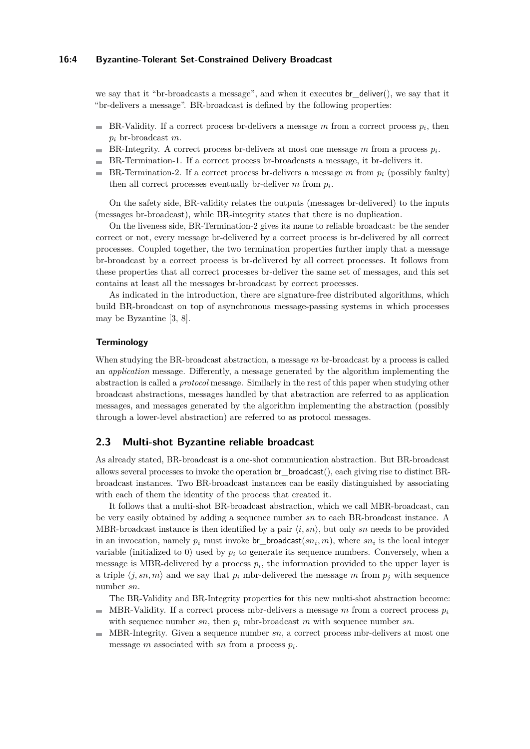#### **16:4 Byzantine-Tolerant Set-Constrained Delivery Broadcast**

we say that it "br-broadcasts a message", and when it executes br\_deliver(), we say that it "br-delivers a message". BR-broadcast is defined by the following properties:

- BR-Validity. If a correct process br-delivers a message  $m$  from a correct process  $p_i$ , then *p<sup>i</sup>* br-broadcast *m*.
- $\blacksquare$ BR-Integrity. A correct process br-delivers at most one message  $m$  from a process  $p_i$ .
- BR-Termination-1. If a correct process br-broadcasts a message, it br-delivers it.
- $\blacksquare$  BR-Termination-2. If a correct process br-delivers a message *m* from  $p_i$  (possibly faulty) then all correct processes eventually br-deliver  $m$  from  $p_i$ .

On the safety side, BR-validity relates the outputs (messages br-delivered) to the inputs (messages br-broadcast), while BR-integrity states that there is no duplication.

On the liveness side, BR-Termination-2 gives its name to reliable broadcast: be the sender correct or not, every message br-delivered by a correct process is br-delivered by all correct processes. Coupled together, the two termination properties further imply that a message br-broadcast by a correct process is br-delivered by all correct processes. It follows from these properties that all correct processes br-deliver the same set of messages, and this set contains at least all the messages br-broadcast by correct processes.

As indicated in the introduction, there are signature-free distributed algorithms, which build BR-broadcast on top of asynchronous message-passing systems in which processes may be Byzantine [3, 8].

#### **Terminology**

When studying the BR-broadcast abstraction, a message *m* br-broadcast by a process is called an *application* message. Differently, a message generated by the algorithm implementing the abstraction is called a *protocol* message. Similarly in the rest of this paper when studying other broadcast abstractions, messages handled by that abstraction are referred to as application messages, and messages generated by the algorithm implementing the abstraction (possibly through a lower-level abstraction) are referred to as protocol messages.

## **2.3 Multi-shot Byzantine reliable broadcast**

As already stated, BR-broadcast is a one-shot communication abstraction. But BR-broadcast allows several processes to invoke the operation br\_broadcast(), each giving rise to distinct BRbroadcast instances. Two BR-broadcast instances can be easily distinguished by associating with each of them the identity of the process that created it.

It follows that a multi-shot BR-broadcast abstraction, which we call MBR-broadcast, can be very easily obtained by adding a sequence number *sn* to each BR-broadcast instance. A MBR-broadcast instance is then identified by a pair  $\langle i, sn \rangle$ , but only sn needs to be provided in an invocation, namely  $p_i$  must invoke  $\mathsf{br\_broadcast}(sn_i, m)$ , where  $sn_i$  is the local integer variable (initialized to 0) used by  $p_i$  to generate its sequence numbers. Conversely, when a message is MBR-delivered by a process  $p_i$ , the information provided to the upper layer is a triple  $\langle j, sn, m \rangle$  and we say that  $p_i$  mbr-delivered the message m from  $p_j$  with sequence number *sn*.

The BR-Validity and BR-Integrity properties for this new multi-shot abstraction become:

- MBR-Validity. If a correct process mbr-delivers a message  $m$  from a correct process  $p_i$ m. with sequence number  $sn$ , then  $p_i$  mbr-broadcast  $m$  with sequence number  $sn$ .
- MBR-Integrity. Given a sequence number *sn*, a correct process mbr-delivers at most one message *m* associated with *sn* from a process *p<sup>i</sup>* .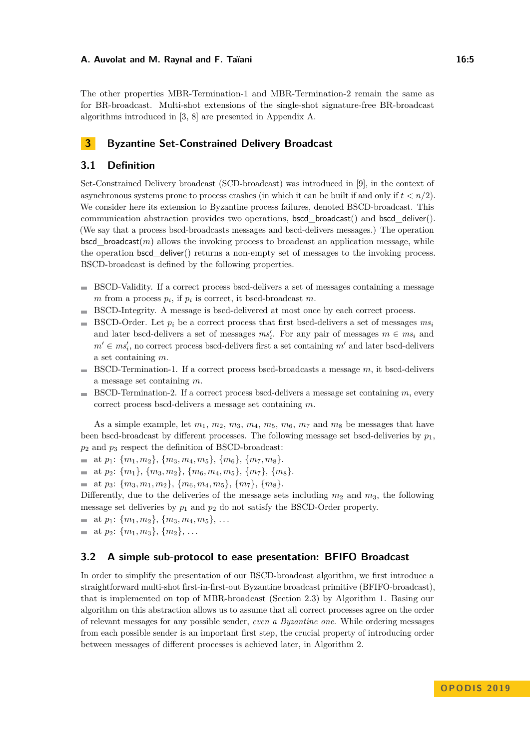The other properties MBR-Termination-1 and MBR-Termination-2 remain the same as for BR-broadcast. Multi-shot extensions of the single-shot signature-free BR-broadcast algorithms introduced in [3, 8] are presented in Appendix A.

## **3 Byzantine Set-Constrained Delivery Broadcast**

## **3.1 Definition**

Set-Constrained Delivery broadcast (SCD-broadcast) was introduced in [9], in the context of asynchronous systems prone to process crashes (in which it can be built if and only if  $t < n/2$ ). We consider here its extension to Byzantine process failures, denoted BSCD-broadcast. This communication abstraction provides two operations, bscd\_broadcast() and bscd\_deliver(). (We say that a process bscd-broadcasts messages and bscd-delivers messages.) The operation  $\mathsf{bscd}$  broadcast $(m)$  allows the invoking process to broadcast an application message, while the operation bscd\_deliver() returns a non-empty set of messages to the invoking process. BSCD-broadcast is defined by the following properties.

- BSCD-Validity. If a correct process bscd-delivers a set of messages containing a message  $m$  from a process  $p_i$ , if  $p_i$  is correct, it bscd-broadcast  $m$ .
- BSCD-Integrity. A message is bscd-delivered at most once by each correct process.
- $\blacksquare$  BSCD-Order. Let  $p_i$  be a correct process that first bscd-delivers a set of messages  $ms_i$ and later bscd-delivers a set of messages  $ms_i'$ . For any pair of messages  $m \in ms_i$  and  $m' \in ms'_{i}$ , no correct process bscd-delivers first a set containing  $m'$  and later bscd-delivers a set containing *m*.
- BSCD-Termination-1. If a correct process bscd-broadcasts a message *m*, it bscd-delivers  $\rightarrow$ a message set containing *m*.
- BSCD-Termination-2. If a correct process bscd-delivers a message set containing *m*, every correct process bscd-delivers a message set containing *m*.

As a simple example, let  $m_1$ ,  $m_2$ ,  $m_3$ ,  $m_4$ ,  $m_5$ ,  $m_6$ ,  $m_7$  and  $m_8$  be messages that have been bscd-broadcast by different processes. The following message set bscd-deliveries by  $p_1$ , *p*<sup>2</sup> and *p*<sup>3</sup> respect the definition of BSCD-broadcast:

- $=$  at  $p_1$ : { $m_1, m_2$ }, { $m_3, m_4, m_5$ }, { $m_6$ }, { $m_7, m_8$ }.
- $=$  at  $p_2$ :  $\{m_1\}, \{m_3, m_2\}, \{m_6, m_4, m_5\}, \{m_7\}, \{m_8\}.$
- at  $p_3$ :  $\{m_3, m_1, m_2\}$ ,  $\{m_6, m_4, m_5\}$ ,  $\{m_7\}$ ,  $\{m_8\}$ .

Differently, due to the deliveries of the message sets including  $m_2$  and  $m_3$ , the following message set deliveries by  $p_1$  and  $p_2$  do not satisfy the BSCD-Order property.

- at  $p_1$ :  $\{m_1, m_2\}, \{m_3, m_4, m_5\}, \ldots$
- at  $p_2$ :  $\{m_1, m_3\}, \{m_2\}, \ldots$

## **3.2 A simple sub-protocol to ease presentation: BFIFO Broadcast**

In order to simplify the presentation of our BSCD-broadcast algorithm, we first introduce a straightforward multi-shot first-in-first-out Byzantine broadcast primitive (BFIFO-broadcast), that is implemented on top of MBR-broadcast (Section 2.3) by Algorithm 1. Basing our algorithm on this abstraction allows us to assume that all correct processes agree on the order of relevant messages for any possible sender, *even a Byzantine one*. While ordering messages from each possible sender is an important first step, the crucial property of introducing order between messages of different processes is achieved later, in Algorithm 2.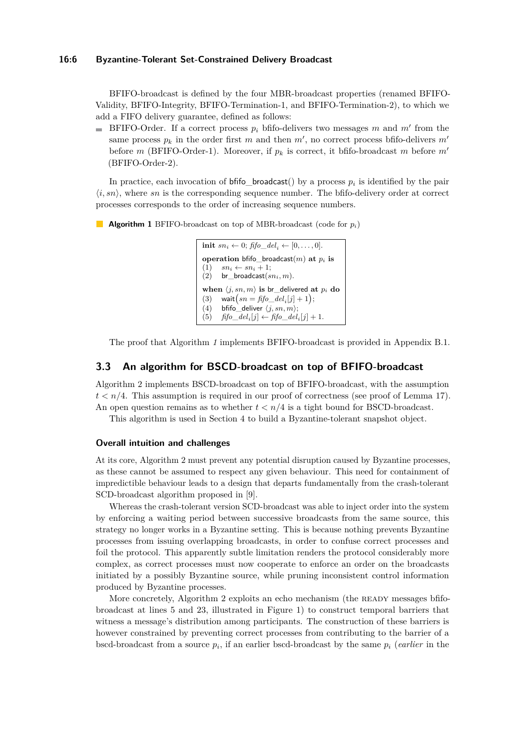#### **16:6 Byzantine-Tolerant Set-Constrained Delivery Broadcast**

BFIFO-broadcast is defined by the four MBR-broadcast properties (renamed BFIFO-Validity, BFIFO-Integrity, BFIFO-Termination-1, and BFIFO-Termination-2), to which we add a FIFO delivery guarantee, defined as follows:

BFIFO-Order. If a correct process  $p_i$  bfifo-delivers two messages  $m$  and  $m'$  from the same process  $p_k$  in the order first  $m$  and then  $m'$ , no correct process bfifo-delivers  $m'$ before *m* (BFIFO-Order-1). Moreover, if  $p_k$  is correct, it bfifo-broadcast *m* before  $m'$ (BFIFO-Order-2).

In practice, each invocation of  $\text{b}$ fifo\_broadcast() by a process  $p_i$  is identified by the pair  $\langle i, sn \rangle$ , where *sn* is the corresponding sequence number. The bfifo-delivery order at correct processes corresponds to the order of increasing sequence numbers.

**Algorithm 1** BFIFO-broadcast on top of MBR-broadcast (code for *pi*)

**init**  $sn_i \leftarrow 0$ ;  $\text{fifo\_del}_i \leftarrow [0, \ldots, 0].$ **operation** bfifo\_broadcast(*m*) **at** *p<sup>i</sup>* **is**  $(1)$   $sn_i \leftarrow sn_i + 1;$  $(2)$  br\_broadcast $(sn_i, m)$ . **when**  $\langle j, sn, m \rangle$  **is** br delivered **at**  $p_i$  **do** (3) wait $\left(s n = \text{fifo}\_\text{del}_i[j] + 1\right);$ (4) **bfifo** deliver  $\langle j, sn, m \rangle$ ;<br>(5) *fifo del<sub>i</sub>*[*j*]  $\leftarrow$  *fifo del* (5)  $\text{fifo}\_\text{del}_i[j] \leftarrow \text{fifo}\_\text{del}_i[j] + 1.$ 

The proof that Algorithm *1* implements BFIFO-broadcast is provided in Appendix B.1.

#### **3.3 An algorithm for BSCD-broadcast on top of BFIFO-broadcast**

Algorithm 2 implements BSCD-broadcast on top of BFIFO-broadcast, with the assumption  $t < n/4$ . This assumption is required in our proof of correctness (see proof of Lemma 17). An open question remains as to whether  $t < n/4$  is a tight bound for BSCD-broadcast.

This algorithm is used in Section 4 to build a Byzantine-tolerant snapshot object.

#### **Overall intuition and challenges**

At its core, Algorithm 2 must prevent any potential disruption caused by Byzantine processes, as these cannot be assumed to respect any given behaviour. This need for containment of impredictible behaviour leads to a design that departs fundamentally from the crash-tolerant SCD-broadcast algorithm proposed in [9].

Whereas the crash-tolerant version SCD-broadcast was able to inject order into the system by enforcing a waiting period between successive broadcasts from the same source, this strategy no longer works in a Byzantine setting. This is because nothing prevents Byzantine processes from issuing overlapping broadcasts, in order to confuse correct processes and foil the protocol. This apparently subtle limitation renders the protocol considerably more complex, as correct processes must now cooperate to enforce an order on the broadcasts initiated by a possibly Byzantine source, while pruning inconsistent control information produced by Byzantine processes.

More concretely, Algorithm 2 exploits an echo mechanism (the READY messages bfifobroadcast at lines 5 and 23, illustrated in Figure 1) to construct temporal barriers that witness a message's distribution among participants. The construction of these barriers is however constrained by preventing correct processes from contributing to the barrier of a bscd-broadcast from a source *p<sup>i</sup>* , if an earlier bscd-broadcast by the same *p<sup>i</sup>* (*earlier* in the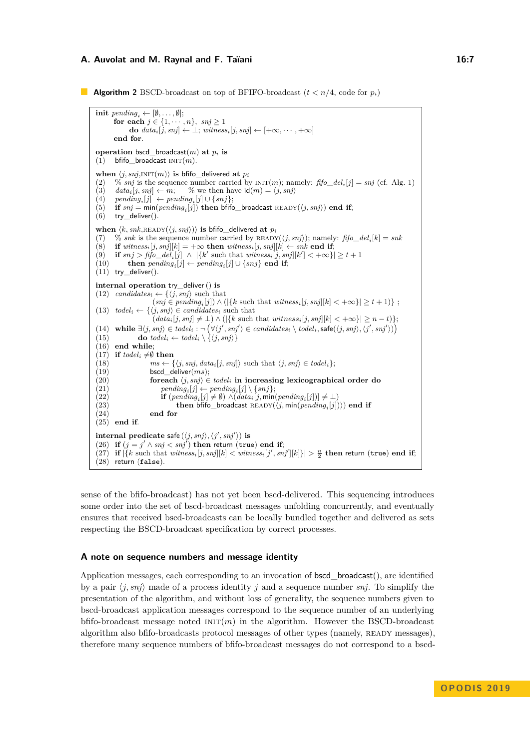#### **A. Auvolat and M. Raynal and F. Taïani 16:7** 16:7

**Algorithm 2** BSCD-broadcast on top of BFIFO-broadcast  $(t < n/4$ , code for  $p_i$ )

**init**  $pending_i \leftarrow [\emptyset, \ldots, \emptyset];$ **for each**  $j \in \{1, \dots, n\}$ *, snj*  $\geq 1$ **do**  $data_i[j, snj] \leftarrow \bot$ ;  $witness_i[j, snj] \leftarrow [+ \infty, \cdots, + \infty]$ **end for**. **operation** bscd broadcast $(m)$  at  $p_i$  is  $(1)$  bfifo\_broadcast  $INT(m)$ . when  $\langle j, snj, \text{INIT}(m) \rangle$  is bfifo\_delivered at  $p_i$ (2)  $\%$  *snj* is the sequence number carried by  $INT(m)$ ; namely:  $\text{ffo\_del}_i[j] = \text{snj}$  (cf. Alg. 1) (3)  $data_i[j, snj] \leftarrow m;$  % we then have  $id(m) = \langle j, snj \rangle$ <br>(4)  $pending_i[j] \leftarrow pending_i[j] \cup \{snj\};$  $(4)$  *pending*<sub>*i*</sub>[*j*] ← *pending*<sub>*i*</sub>[*j*] ∪ {*snj*};  $(5)$  if  $snj = min(pending_i[j])$  then bfifo\_broadcast READY( $\langle j, snj \rangle$ ) end if;  $(6)$  try\_deliver $()$ . when  $\langle k, snk, \text{READY}(\langle j, snj \rangle) \rangle$  is bfifo\_delivered at  $p_i$ (7) % *snk* is the sequence number carried by READY( $\langle j, snj \rangle$ ); namely:  $\text{ffo\_del}_i[k] = \text{snk}$ (8) **if**  $witness_i[j, snj][k] = +\infty$  **then**  $witness_i[j, snj][k] \leftarrow shk$  **end if**;<br>(9) **if**  $snj > \text{fifo}$   $del_i[j] \wedge |{k'}$  such that  $witness_i[j, snj][k'] < +\infty$ }  $(9)$  **if**  $snj > f_0$  $\overline{fo\_del_i[j]} \land |\{k' \text{ such that } \overline{witness_i[j, snj]}[k'] < +\infty\}| \geq t+1$ (10) **then**  $pending_i[j] \leftarrow pending_i[j] \cup \{snj\}$  **end if**;  $(11)$  try\_deliver(). **internal operation** try\_deliver() **is**  $(12)$  *candidates<sub>i</sub>* ←  $\{\langle j, snj \rangle\}$  such that  $(snj \in pending_i[j]) \wedge (|\{k \text{ such that } witness_i[j,snj][k] < +\infty\}| \geq t+1)\};$ (13)  $todel_i \leftarrow {\langle j, snj \rangle \in candidates_i \text{ such that}}$  $(data_i[j, snj] \neq \bot) \land (|\{k \text{ such that } witness_i[j, snj][k] < +\infty\}| \geq n - t\};$ (14) while  $\exists \langle j, s n j \rangle \in \text{todel}_i : \neg (\forall \langle j', s n j' \rangle \in \text{candidates}_i \setminus \text{todel}_i, \mathsf{safe}(\langle j, s n j \rangle, \langle j', s n j' \rangle))$ (15) **do**  $\text{todel}_i \leftarrow \text{todel}_i \setminus \{ \langle j, \text{snj} \rangle \}$ (16) **end while**;  $(17)$  **if**  $todel_i \neq \emptyset$  **then** (18)  $ms \leftarrow \{\langle j, snj, data_i[j, snj] \rangle \text{ such that } \langle j, snj \rangle \in todel_i\};$ <br>(19) bscd deliver(*ms*); (19) bscd\_deliver( $ms$ );<br>(20) **for each**  $\langle j, snj \rangle \in$  ${forceach \langle j, snj \rangle \in todel_i \text{ in increasing lexicographical order do}$ (21)  $pending_i[j] \leftarrow pending_i[j] \setminus \{snj\};$ (22) **if**  $(\text{pending}_i[j] \neq \emptyset) \land (\text{data}_i[j, \text{min}(\text{pending}_i[j])] \neq \bot)$  $(23)$  **then** bfifo\_broadcast READY( $\langle j, \text{min}(pending_i[j]) \rangle$ ) **end if** (24) **end for** (25) **end if**.  $\textbf{internal predicate safe}(\langle j, \textit{snj}\rangle, \langle j', \textit{snj}'\rangle) \textbf{ is}$ (26) **if**  $(j = j' \land snj < snj')$  **then** return (true) **end if**;  $(27)$  if  $|\{k \text{ such that } witness_i[j,snj][k] < withess_i[j',snj'][k]\}| > \frac{n}{2}$  then return (true) end if; (28) return (false).

sense of the bfifo-broadcast) has not yet been bscd-delivered. This sequencing introduces some order into the set of bscd-broadcast messages unfolding concurrently, and eventually ensures that received bscd-broadcasts can be locally bundled together and delivered as sets respecting the BSCD-broadcast specification by correct processes.

#### **A note on sequence numbers and message identity**

Application messages, each corresponding to an invocation of **bscd** broadcast(), are identified by a pair  $\langle j, snj \rangle$  made of a process identity *j* and a sequence number *snj*. To simplify the presentation of the algorithm, and without loss of generality, the sequence numbers given to bscd-broadcast application messages correspond to the sequence number of an underlying bfifo-broadcast message noted  $INT(m)$  in the algorithm. However the BSCD-broadcast algorithm also bfifo-broadcasts protocol messages of other types (namely, READY messages), therefore many sequence numbers of bfifo-broadcast messages do not correspond to a bscd-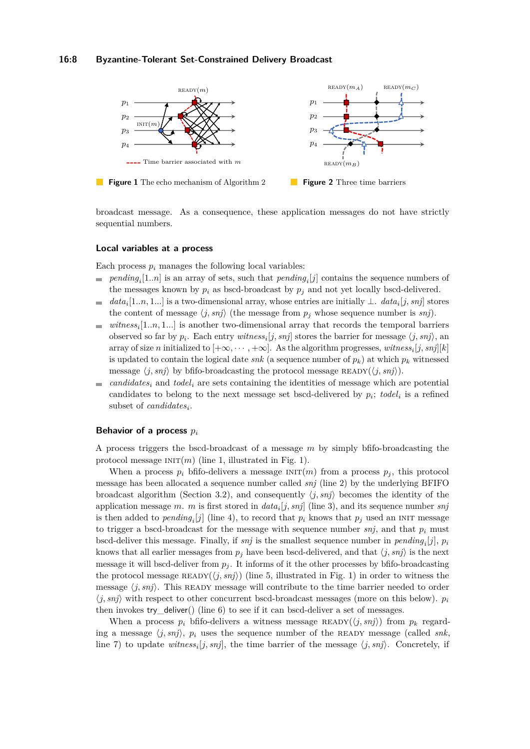#### **16:8 Byzantine-Tolerant Set-Constrained Delivery Broadcast**



broadcast message. As a consequence, these application messages do not have strictly sequential numbers.

#### **Local variables at a process**

Each process  $p_i$  manages the following local variables:

- $pending_i[1..n]$  is an array of sets, such that  $pending_i[j]$  contains the sequence numbers of the messages known by  $p_i$  as bscd-broadcast by  $p_j$  and not yet locally bscd-delivered.
- $data_i[1..n, 1...]$  is a two-dimensional array, whose entries are initially  $\perp$ .  $data_i[j, snj]$  stores  $\equiv$ the content of message  $\langle j, snj \rangle$  (the message from  $p_j$  whose sequence number is *snj*).
- *witness<sup>i</sup>* [1*..n,* 1*...*] is another two-dimensional array that records the temporal barriers  $\equiv$ observed so far by  $p_i$ . Each entry *witness*<sup>*i*</sup>[*j*, *snj*] stores the barrier for message  $\langle j, snj \rangle$ , and array of size *n* initialized to  $[+\infty, \cdots, +\infty]$ . As the algorithm progresses, *witness*<sup>*i*</sup>[*j*, *snj*][*k*] is updated to contain the logical date *snk* (a sequence number of  $p_k$ ) at which  $p_k$  witnessed message  $\langle j, s n j \rangle$  by bfifo-broadcasting the protocol message READY $(\langle j, s n j \rangle)$ .
- $candidates<sub>i</sub>$  and  $todel<sub>i</sub>$  are sets containing the identities of message which are potential  $\mathcal{L}_{\mathcal{A}}$ candidates to belong to the next message set bscd-delivered by  $p_i$ ; todel<sub>i</sub> is a refined subset of *candidates<sup>i</sup>* .

#### **Behavior of a process** *p<sup>i</sup>*

A process triggers the bscd-broadcast of a message *m* by simply bfifo-broadcasting the protocol message  $INT(m)$  (line 1, illustrated in Fig. 1).

When a process  $p_i$  bfifo-delivers a message  $INT(m)$  from a process  $p_i$ , this protocol message has been allocated a sequence number called *snj* (line 2) by the underlying BFIFO broadcast algorithm (Section 3.2), and consequently  $\langle j, snj \rangle$  becomes the identity of the application message *m*. *m* is first stored in *data<sup>i</sup>* [*j, snj*] (line 3), and its sequence number *snj* is then added to  $pending_i[j]$  (line 4), to record that  $p_i$  knows that  $p_j$  used an INIT message to trigger a bscd-broadcast for the message with sequence number  $snj$ , and that  $p_i$  must bscd-deliver this message. Finally, if *snj* is the smallest sequence number in *pending<sup>i</sup>* [*j*], *p<sup>i</sup>* knows that all earlier messages from  $p_j$  have been bscd-delivered, and that  $\langle j, snj \rangle$  is the next message it will bscd-deliver from  $p_j$ . It informs of it the other processes by bfifo-broadcasting the protocol message  $READV(\langle j, snj \rangle)$  (line 5, illustrated in Fig. 1) in order to witness the message  $\langle j, snj \rangle$ . This READY message will contribute to the time barrier needed to order  $\langle j, snj \rangle$  with respect to other concurrent bscd-broadcast messages (more on this below).  $p_i$ then invokes try deliver() (line  $6$ ) to see if it can bscd-deliver a set of messages.

When a process  $p_i$  bfifo-delivers a witness message  $\text{READV}(\langle j, snj \rangle)$  from  $p_k$  regarding a message  $\langle j, snj \rangle$ ,  $p_i$  uses the sequence number of the READY message (called *snk*, line 7) to update  $witness_i[j, snj]$ , the time barrier of the message  $\langle j, snj \rangle$ . Concretely, if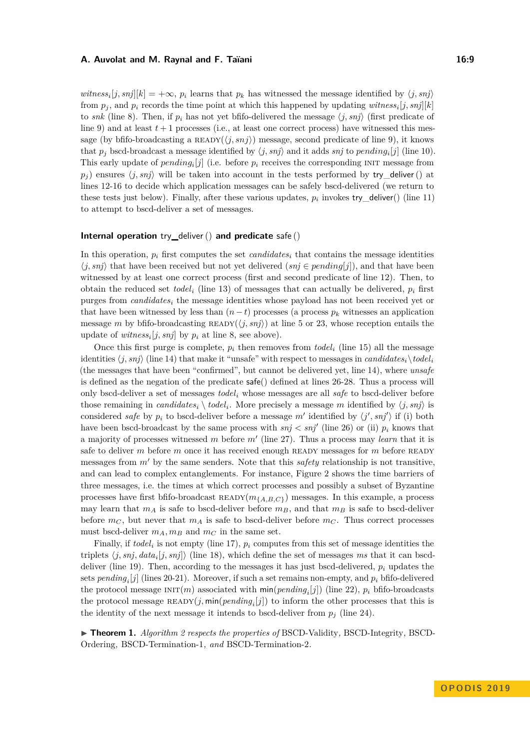#### **A. Auvolat and M. Raynal and F. Taïani 16:9 16:9 16:9**

*witness*<sub>i</sub>[*j*, *snj*][ $k$ ] = +∞, *p*<sub>*i*</sub> learns that *p*<sub>*k*</sub> has witnessed the message identified by  $\langle j, snj \rangle$ from  $p_j$ , and  $p_i$  records the time point at which this happened by updating *witness*<sub>*i*</sub>[*j*, *snj*][*k*] to *snk* (line 8). Then, if  $p_i$  has not yet bfifo-delivered the message  $\langle j, snj \rangle$  (first predicate of line 9) and at least  $t+1$  processes (i.e., at least one correct process) have witnessed this message (by bfifo-broadcasting a  $\text{READV}(\langle j, snj \rangle)$ ) message, second predicate of line 9), it knows that  $p_j$  bscd-broadcast a message identified by  $\langle j, snj \rangle$  and it adds  $snj$  to  $pending_i[j]$  (line 10). This early update of  $pending_i[j]$  (i.e. before  $p_i$  receives the corresponding INIT message from  $p_i$ ) ensures  $\langle j, snj \rangle$  will be taken into account in the tests performed by try\_deliver() at lines 12-16 to decide which application messages can be safely bscd-delivered (we return to these tests just below). Finally, after these various updates,  $p_i$  invokes try\_deliver() (line 11) to attempt to bscd-deliver a set of messages.

#### **Internal operation** try**\_**deliver() **and predicate** safe ()

In this operation,  $p_i$  first computes the set *candidates<sub>i</sub>* that contains the message identities  $\langle j, snj \rangle$  that have been received but not yet delivered  $(snj \in pending[j])$ , and that have been witnessed by at least one correct process (first and second predicate of line 12). Then, to obtain the reduced set *todel*<sub>*i*</sub> (line 13) of messages that can actually be delivered,  $p_i$  first purges from *candidates<sup>i</sup>* the message identities whose payload has not been received yet or that have been witnessed by less than  $(n-t)$  processes (a process  $p_k$  witnesses an application message *m* by bfifo-broadcasting  $READV(\langle j, snj \rangle)$  at line 5 or 23, whose reception entails the update of  $witness_i[j, snj]$  by  $p_i$  at line 8, see above).

Once this first purge is complete,  $p_i$  then removes from  $\text{todel}_i$  (line 15) all the message identities  $\langle j, snj \rangle$  (line 14) that make it "unsafe" with respect to messages in *candidates<sub>i</sub>*  $\langle todel_i \rangle$ (the messages that have been "confirmed", but cannot be delivered yet, line 14), where *unsafe* is defined as the negation of the predicate safe() defined at lines 26-28. Thus a process will only bscd-deliver a set of messages *todel <sup>i</sup>* whose messages are all *safe* to bscd-deliver before those remaining in *candidates*<sup>*i*</sup>  $\setminus$  *todel*<sub>*i*</sub>. More precisely a message *m* identified by  $\langle j, snj \rangle$  is considered *safe* by  $p_i$  to bscd-deliver before a message  $m'$  identified by  $\langle j', s n j' \rangle$  if (i) both have been bscd-broadcast by the same process with  $snj < snj'$  (line 26) or (ii)  $p_i$  knows that a majority of processes witnessed *m* before  $m'$  (line 27). Thus a process may *learn* that it is safe to deliver *m* before *m* once it has received enough READY messages for *m* before READY messages from *m'* by the same senders. Note that this *safety* relationship is not transitive, and can lead to complex entanglements. For instance, Figure 2 shows the time barriers of three messages, i.e. the times at which correct processes and possibly a subset of Byzantine processes have first bfifo-broadcast  $\text{READY}(m_{\{A,B,C\}})$  messages. In this example, a process may learn that  $m_A$  is safe to bscd-deliver before  $m_B$ , and that  $m_B$  is safe to bscd-deliver before  $m<sub>C</sub>$ , but never that  $m<sub>A</sub>$  is safe to bscd-deliver before  $m<sub>C</sub>$ . Thus correct processes must bscd-deliver  $m_A, m_B$  and  $m_C$  in the same set.

Finally, if  $todel_i$  is not empty (line 17),  $p_i$  computes from this set of message identities the triplets  $\langle j, snj, data_i[j, snj] \rangle$  (line 18), which define the set of messages *ms* that it can bscddeliver (line 19). Then, according to the messages it has just bscd-delivered, *p<sup>i</sup>* updates the sets *pending<sup>i</sup>* [*j*] (lines 20-21). Moreover, if such a set remains non-empty, and *p<sup>i</sup>* bfifo-delivered the protocol message  $INT(m)$  associated with  $min(pending_i[j])$  (line 22),  $p_i$  bfifo-broadcasts the protocol message  $\text{READV}(j, \text{min}(pending_i[j])$  to inform the other processes that this is the identity of the next message it intends to bscd-deliver from  $p_j$  (line 24).

I **Theorem 1.** *Algorithm 2 respects the properties of* BSCD-Validity*,* BSCD-Integrity*,* BSCD-Ordering*,* BSCD-Termination-1*, and* BSCD-Termination-2*.*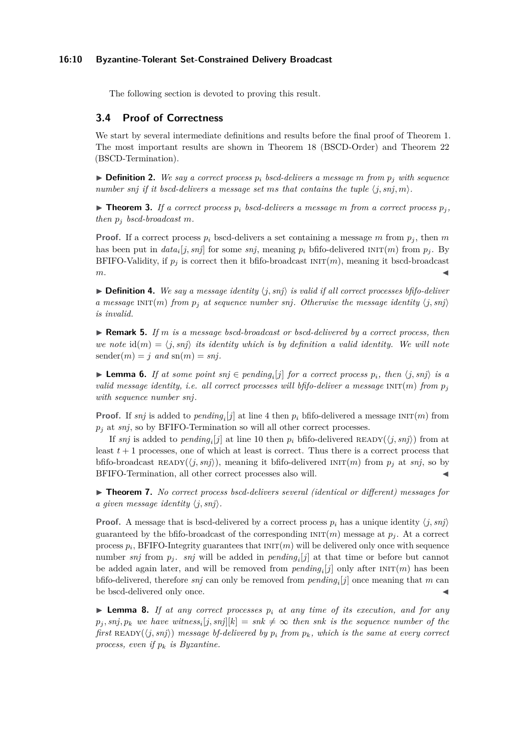#### **16:10 Byzantine-Tolerant Set-Constrained Delivery Broadcast**

The following section is devoted to proving this result.

## **3.4 Proof of Correctness**

We start by several intermediate definitions and results before the final proof of Theorem 1. The most important results are shown in Theorem 18 (BSCD-Order) and Theorem 22 (BSCD-Termination).

 $\triangleright$  **Definition 2.** We say a correct process  $p_i$  bscd-delivers a message m from  $p_i$  with sequence *number snj if it bscd-delivers* a message set *ms* that contains the tuple  $\langle j, snj, m \rangle$ .

 $\triangleright$  **Theorem 3.** *If a correct process*  $p_i$  *bscd-delivers a message m from a correct process*  $p_j$ , *then*  $p_j$  *bscd-broadcast*  $m$ *.* 

**Proof.** If a correct process  $p_i$  bscd-delivers a set containing a message  $m$  from  $p_j$ , then  $m$ has been put in  $data_i[j,snj]$  for some  $snj$ , meaning  $p_i$  bfifo-delivered  $INT(m)$  from  $p_j$ . By BFIFO-Validity, if  $p_j$  is correct then it bfifo-broadcast  $INT(m)$ , meaning it bscd-broadcast  $m$ .

 $\triangleright$  **Definition 4.** We say a message identity  $\langle j, snj \rangle$  is valid if all correct processes bfifo-deliver *a* message  $INT(m)$  *from*  $p_j$  *at sequence number snj. Otherwise the message identity*  $\langle j, snj \rangle$ *is invalid.*

▶ **Remark 5.** *If m is a message bscd-broadcast or bscd-delivered by a correct process, then we note*  $id(m) = \langle j, snj \rangle$  *its identity which is by definition a valid identity. We will note*  ${\rm sender}(m) = j$  *and*  ${\rm sn}(m) = snj$ .

▶ **Lemma 6.** *If at some point*  $snj \in pending_i[j]$  *for a correct process*  $p_i$ *, then*  $\langle j, snj \rangle$  *is a valid message identity, i.e. all correct processes will bfifo-deliver a message*  $INT(m)$  *from*  $p_j$ *with sequence number snj.*

**Proof.** If *snj* is added to *pending*<sub>*i*</sub>[*j*] at line 4 then  $p_i$  bfifo-delivered a message  $INT(m)$  from  $p_i$  at *snj*, so by BFIFO-Termination so will all other correct processes.

If *snj* is added to *pending*<sub>*i*</sub><sup>[*j*]</sup> at line 10 then  $p_i$  bfifo-delivered READY( $\langle j, snj \rangle$ ) from at least  $t+1$  processes, one of which at least is correct. Thus there is a correct process that bfifo-broadcast READY( $\langle j, snj \rangle$ ), meaning it bfifo-delivered INIT $(m)$  from  $p_j$  at  $snj$ , so by BFIFO-Termination, all other correct processes also will.

▶ **Theorem 7.** *No correct process bscd-delivers several (identical or different) messages for a given message identity*  $\langle j, snj \rangle$ *.* 

**Proof.** A message that is bscd-delivered by a correct process  $p_i$  has a unique identity  $\langle j, s n j \rangle$ guaranteed by the bfifo-broadcast of the corresponding  $INT(m)$  message at  $p_j$ . At a correct process  $p_i$ , BFIFO-Integrity guarantees that  $\text{INIT}(m)$  will be delivered only once with sequence number *snj* from  $p_j$ . *snj* will be added in  $pending_i[j]$  at that time or before but cannot be added again later, and will be removed from  $pending_i[j]$  only after  $INT(m)$  has been bfifo-delivered, therefore *snj* can only be removed from *pending<sup>i</sup>* [*j*] once meaning that *m* can be bscd-delivered only once.

**Lemma 8.** If at any correct processes  $p_i$  at any time of its execution, and for any  $p_j$ ,  $snj$ ,  $p_k$  *we have witness*<sup>*i*</sup> $[j, snj][k] = snk \neq \infty$  *then snk is the sequence number of the first* READY( $\langle j, snj \rangle$ ) *message bf-delivered by*  $p_i$  *from*  $p_k$ *, which is the same at every correct process, even if p<sup>k</sup> is Byzantine.*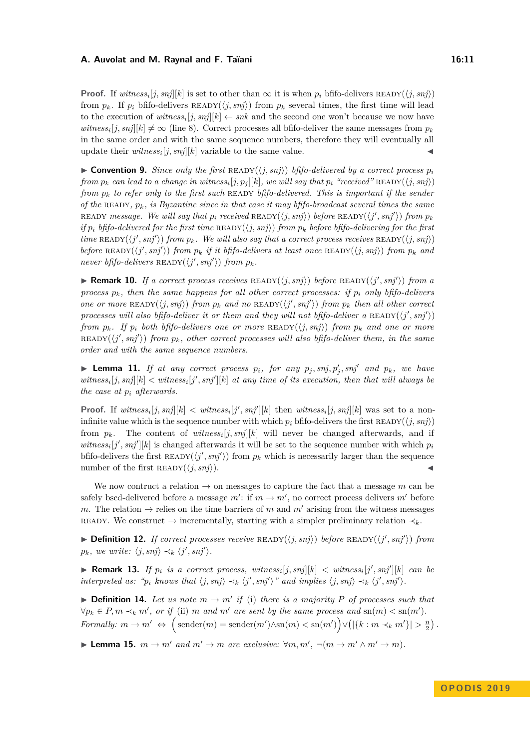#### **A. Auvolat and M. Raynal and F. Taïani 16:11** 16:11

**Proof.** If  $witness_i[j, snj][k]$  is set to other than  $\infty$  it is when  $p_i$  bfifo-delivers  $READV(\langle j, snj \rangle)$ from  $p_k$ . If  $p_i$  bfifo-delivers  $\text{READY}(\langle j, s\eta j \rangle)$  from  $p_k$  several times, the first time will lead to the execution of  $witness_i[j, snj][k] \leftarrow snk$  and the second one won't because we now have *witness*<sub>*i*</sub>[*j*, *snj*][*k*]  $\neq \infty$  (line 8). Correct processes all bfifo-deliver the same messages from  $p_k$ in the same order and with the same sequence numbers, therefore they will eventually all update their  $witness_i[j, snj][k]$  variable to the same value.

 $\triangleright$  **Convention 9.** *Since only the first* READY( $\langle j, snj \rangle$ ) *bfifo-delivered by a correct process*  $p_i$  $f$ rom  $p_k$  *can lead to a change in witness* $_i[j, p_j][k]$ *, we will say that*  $p_i$  *"received"*  $\text{READV}(\langle j, snj \rangle)$ *from*  $p_k$  to refer only to the first such READY bfifo-delivered. This is important if the sender *of the* READY,  $p_k$ , is Byzantine since in that case it may bfifo-broadcast several times the same  $\mathcal{R}$  *READY message. We will say that*  $p_i$  *received*  $\mathcal{R}$ *READY* $(\langle j, snj \rangle)$  *before*  $\mathcal{R}$ *EADY* $(\langle j', snj' \rangle)$  *from*  $p_k$ *if*  $p_i$  *bfifo-delivered for the first time*  $READV(\langle j, snj \rangle)$  *from*  $p_k$  *before bfifo-delivering for the first*  $time$  **READY** $(\langle j', snj' \rangle)$  *from*  $p_k$ *. We will also say that a correct process receives* **READY** $(\langle j, snj \rangle)$  $before$  **READY**( $\langle j', snj' \rangle$ ) *from*  $p_k$  *if it bfifo-delivers at least once* **READY**( $\langle j, snj \rangle$ ) *from*  $p_k$  *and never bfifo-delivers* READY $(\langle j', snj' \rangle)$  *from*  $p_k$ *.* 

**• Remark 10.** *If a correct process receives* READY( $\langle j, snj \rangle$ ) *before* READY( $\langle j', snj' \rangle$ ) *from a process*  $p_k$ , then the same happens for all other correct processes: if  $p_i$  only bfifo-delivers *one or more* READY( $\langle j, snj \rangle$ ) *from*  $p_k$  *and no* READY( $\langle j', snj' \rangle$ ) *from*  $p_k$  *then all other correct processes will also bfifo-deliver it or them and they will not bfifo-deliver a*  $READV(\langle j', snj' \rangle)$ *from*  $p_k$ *. If*  $p_i$  *both bfifo-delivers one or more*  $READY(\langle i, snj \rangle)$  *from*  $p_k$  *and one or more*  $R$ **EADY** $(\langle j', snj' \rangle)$  *from*  $p_k$ *, other correct processes will also bfifo-deliver them, in the same order and with the same sequence numbers.*

**Example 11.** *If at any correct process*  $p_i$ *, for any*  $p_j$ *, snj*,  $p'_j$ *, snj'* and  $p_k$ *, we have*  $witness_i[j, snj][k] < witness_i[j', snj'][k]$  at any time of its execution, then that will always be *the case at p<sup>i</sup> afterwards.*

**Proof.** If  $witness_i[j, snj][k] < witness_i[j', snj'][k]$  then  $witness_i[j, snj][k]$  was set to a noninfinite value which is the sequence number with which  $p_i$  bfifo-delivers the first READY( $\langle j, snj \rangle$ ) from  $p_k$ . The content of *witness*<sup>*i*</sup>[*j, snj*][*k*] will never be changed afterwards, and if  $witness_i[j',snj'][k]$  is changed afterwards it will be set to the sequence number with which  $p_i$ bfifo-delivers the first  $READV(\langle j', snj' \rangle)$  from  $p_k$  which is necessarily larger than the sequence number of the first  $READV(\langle i, snj \rangle)$ .

We now contruct a relation  $\rightarrow$  on messages to capture the fact that a message m can be safely bscd-delivered before a message  $m'$ : if  $m \to m'$ , no correct process delivers  $m'$  before *m*. The relation  $\rightarrow$  relies on the time barriers of *m* and *m'* arising from the witness messages READY. We construct  $\rightarrow$  incrementally, starting with a simpler preliminary relation  $\prec_k$ .

 $\blacktriangleright$  **Definition 12.** *If correct processes receive* READY( $\langle j, snj \rangle$ ) *before* READY( $\langle j', snj' \rangle$ ) *from*  $p_k$ *, we write:*  $\langle j, snj \rangle \prec_k \langle j', snj' \rangle$ *.* 

**Remark 13.** If  $p_i$  is a correct process, witness<sub>i</sub>[j, snj][k] < witness<sub>i</sub>[j', snj'][k] can be *interpreted as:* " $p_i$  knows that  $\langle j, s n j \rangle \prec_k \langle j', s n j' \rangle$ " and implies  $\langle j, s n j \rangle \prec_k \langle j', s n j' \rangle$ .

**• Definition 14.** Let us note  $m \to m'$  if (i) there is a majority P of processes such that  $\forall p_k \in P, m \prec_k m'$ , or if (ii) *m* and *m'* are sent by the same process and sn(*m*)  $<$  sn(*m'*).  $Formally: m \to m' \Leftrightarrow \left( \text{sender}(m) = \text{sender}(m') \land \text{sn}(m) < \text{sn}(m') \right) \lor \left( \left| \{k : m \prec_k m' \} \right| > \frac{n}{2} \right).$ 

**Example 15.**  $m \to m'$  and  $m' \to m$  are exclusive:  $\forall m, m', \neg (m \to m' \land m' \to m)$ .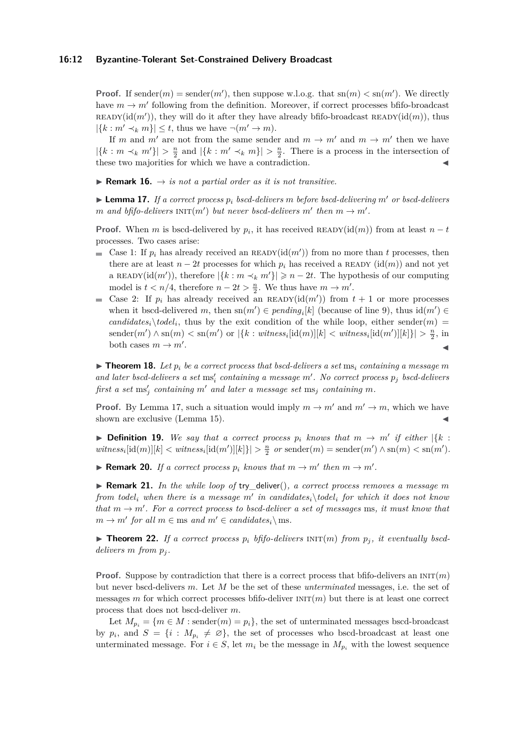#### **16:12 Byzantine-Tolerant Set-Constrained Delivery Broadcast**

**Proof.** If sender $(m)$  = sender $(m')$ , then suppose w.l.o.g. that sn $(m) < \text{sn}(m')$ . We directly have  $m \to m'$  following from the definition. Moreover, if correct processes bfifo-broadcast READY( $id(m')$ ), they will do it after they have already bfifo-broadcast READY( $id(m)$ ), thus  $|\{k : m' \prec_k m\}| \leq t$ , thus we have  $\neg(m' \rightarrow m)$ .

If *m* and *m'* are not from the same sender and  $m \to m'$  and  $m \to m'$  then we have  $|\{k : m \prec_k m'\}| > \frac{n}{2}$  and  $|\{k : m' \prec_k m\}| > \frac{n}{2}$ . There is a process in the intersection of these two majorities for which we have a contradiction.

**Remark 16.**  $\rightarrow$  *is not a partial order as it is not transitive.* 

**Lemma 17.** *If a correct process*  $p_i$  *bscd-delivers m before bscd-delivering*  $m'$  *or bscd-delivers m* and bfifo-delivers  $INT(m')$  but never bscd-delivers  $m'$  then  $m \rightarrow m'$ .

**Proof.** When *m* is bscd-delivered by  $p_i$ , it has received READY(id(*m*)) from at least  $n - t$ processes. Two cases arise:

- Case 1: If  $p_i$  has already received an READY( $\text{id}(m')$ ) from no more than t processes, then there are at least  $n-2t$  processes for which  $p_i$  has received a READY (id(*m*)) and not yet a READY( $\text{id}(m')$ ), therefore  $|\{k : m \prec_k m'\}| \geq n - 2t$ . The hypothesis of our computing model is  $t < n/4$ , therefore  $n - 2t > \frac{n}{2}$ . We thus have  $m \to m'$ .
- Case 2: If  $p_i$  has already received an READY(id(*m'*)) from  $t + 1$  or more processes  $\equiv$ when it bscd-delivered *m*, then  $\text{sn}(m') \in \text{pending}_i[k]$  (because of line 9), thus  $\text{id}(m') \in$  $candidates_i\, \text{todel}_i,$  thus by the exit condition of the while loop, either sender $(m)$  =  ${\rm sender}(m') \wedge {\rm sn}(m) < {\rm sn}(m')$  or  $|\{k : \text{witness}_i[\text{id}(m)][k] < \text{witness}_i[\text{id}(m')][k]\}| > \frac{n}{2}$ , in both cases  $m \to m'$ . . January 1980, and the contract of the contract of the contract of the contract of the contract of the contract of

 $\triangleright$  **Theorem 18.** Let  $p_i$  be a correct process that bscd-delivers a set ms<sub>i</sub> containing a message m  $and$  *later bscd-delivers*  $a$  *set*  $ms'_{i}$  *containing*  $a$  *message*  $m'$ . No correct process  $p_{j}$  *bscd-delivers*  $f$ *irst a set*  $\text{ms}'_j$  *containing*  $m'$  *and later a message set*  $\text{ms}_j$  *containing*  $m$ *.* 

**Proof.** By Lemma 17, such a situation would imply  $m \to m'$  and  $m' \to m$ , which we have shown are exclusive (Lemma 15).

**Definition 19.** We say that a correct process  $p_i$  knows that  $m \rightarrow m'$  if either  $|\{k\}$ :  $witness_i[id(m)][k] < witness_i[id(m')][k]\} > \frac{n}{2}$  *or*  $\text{sender}(m) = \text{sender}(m') \wedge \text{sn}(m) < \text{sn}(m')$ .

**• Remark 20.** *If a correct process*  $p_i$  *knows that*  $m \rightarrow m'$  *then*  $m \rightarrow m'$ *.* 

▶ **Remark 21.** In the while loop of try\_deliver(), a correct process removes a message m  $f$ rom  $t$ odel<sub>i</sub> when there is a message  $m'$  in candidates<sub>i</sub> $\setminus$ todel<sub>i</sub>  $f$ or which it does not know *that*  $m \rightarrow m'$ . For a correct process to bscd-deliver a set of messages ms, it must know that  $m \rightarrow m'$  *for all*  $m \in \text{ms}$  *and*  $m' \in \text{candidates}_i \setminus \text{ms}$ *.* 

 $\triangleright$  **Theorem 22.** If a correct process  $p_i$  bfifo-delivers  $\text{INIT}(m)$  from  $p_i$ , it eventually bscd*delivers m from p<sup>j</sup> .*

**Proof.** Suppose by contradiction that there is a correct process that bfifo-delivers an  $\text{INIT}(m)$ but never bscd-delivers *m*. Let *M* be the set of these *unterminated* messages, i.e. the set of messages *m* for which correct processes bfifo-deliver  $INT(m)$  but there is at least one correct process that does not bscd-deliver *m*.

Let  $M_{p_i} = \{m \in M : \text{sender}(m) = p_i\}$ , the set of unterminated messages bscd-broadcast by  $p_i$ , and  $S = \{i : M_{p_i} \neq \emptyset\}$ , the set of processes who bscd-broadcast at least one unterminated message. For  $i \in S$ , let  $m_i$  be the message in  $M_{p_i}$  with the lowest sequence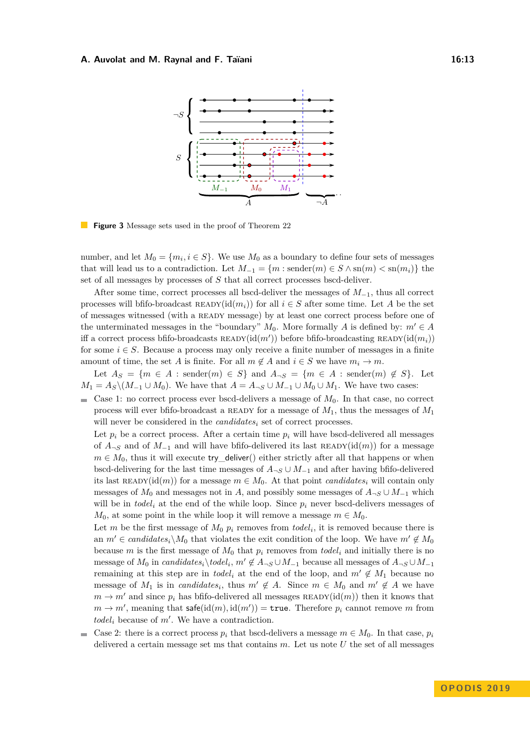#### **A. Auvolat and M. Raynal and F. Taïani 16:13**



**Figure 3** Message sets used in the proof of Theorem 22

number, and let  $M_0 = \{m_i, i \in S\}$ . We use  $M_0$  as a boundary to define four sets of messages that will lead us to a contradiction. Let  $M_{-1} = \{m : \text{sender}(m) \in S \wedge \text{sn}(m) < \text{sn}(m_i)\}\$ the set of all messages by processes of *S* that all correct processes bscd-deliver.

After some time, correct processes all bscd-deliver the messages of *M*<sup>−</sup>1, thus all correct processes will bfifo-broadcast  $\text{READY}(\text{id}(m_i))$  for all  $i \in S$  after some time. Let A be the set of messages witnessed (with a ready message) by at least one correct process before one of the unterminated messages in the "boundary"  $M_0$ . More formally *A* is defined by:  $m' \in A$ iff a correct process bfifo-broadcasts  $READV(id(m'))$  before bfifo-broadcasting  $READV(id(m_i))$ for some  $i \in S$ . Because a process may only receive a finite number of messages in a finite amount of time, the set *A* is finite. For all  $m \notin A$  and  $i \in S$  we have  $m_i \to m$ .

Let  $A_S = \{m \in A : \text{sender}(m) \in S\}$  and  $A_{\neg S} = \{m \in A : \text{sender}(m) \notin S\}$ . Let  $M_1 = A_S \setminus (M_{-1} \cup M_0)$ . We have that  $A = A_{\neg S} \cup M_{-1} \cup M_0 \cup M_1$ . We have two cases:

Case 1: no correct process ever bscd-delivers a message of  $M_0$ . In that case, no correct ÷. process will ever bfifo-broadcast a ready for a message of *M*1, thus the messages of *M*<sup>1</sup> will never be considered in the *candidates*<sup>*i*</sup> set of correct processes.

Let  $p_i$  be a correct process. After a certain time  $p_i$  will have bscd-delivered all messages of  $A_{\neg S}$  and of  $M_{-1}$  and will have bfifo-delivered its last READY(id(*m*)) for a message  $m \in M_0$ , thus it will execute try\_deliver() either strictly after all that happens or when bscd-delivering for the last time messages of  $A_{\neg S} \cup M_{-1}$  and after having bfifo-delivered its last READY(id(*m*)) for a message  $m \in M_0$ . At that point *candidates<sub>i</sub>* will contain only messages of  $M_0$  and messages not in *A*, and possibly some messages of  $A_{\neg S} \cup M_{-1}$  which will be in *todel<sub>i</sub>* at the end of the while loop. Since  $p_i$  never bscd-delivers messages of *M*<sub>0</sub>, at some point in the while loop it will remove a message  $m \in M_0$ .

Let *m* be the first message of  $M_0$   $p_i$  removes from  $todel_i$ , it is removed because there is an  $m' \in candidates_i\backslash M_0$  that violates the exit condition of the loop. We have  $m' \notin M_0$ because *m* is the first message of  $M_0$  that  $p_i$  removes from *todel<sub>i</sub>* and initially there is no message of  $M_0$  in *candidates*<sub>*i*</sub>\*todel<sub>i</sub>*,  $m' \notin A_{\neg S} \cup M_{-1}$  because all messages of  $A_{\neg S} \cup M_{-1}$ remaining at this step are in *todel*<sub>i</sub> at the end of the loop, and  $m' \notin M_1$  because no message of  $M_1$  is in *candidates<sub>i</sub>*, thus  $m' \notin A$ . Since  $m \in M_0$  and  $m' \notin A$  we have  $m \rightarrow m'$  and since  $p_i$  has bfifo-delivered all messages READY(id(*m*)) then it knows that  $m \to m'$ , meaning that  $\mathsf{safe}(\mathrm{id}(m), \mathrm{id}(m')) = \mathtt{true}$ . Therefore  $p_i$  cannot remove *m* from  $todel<sub>i</sub>$  because of  $m'$ . We have a contradiction.

Case 2: there is a correct process  $p_i$  that bscd-delivers a message  $m \in M_0$ . In that case,  $p_i$  $\blacksquare$ delivered a certain message set ms that contains *m*. Let us note *U* the set of all messages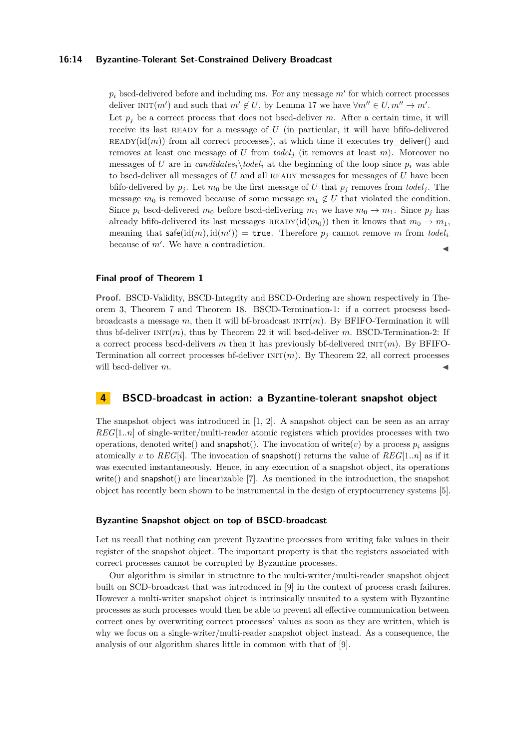#### **16:14 Byzantine-Tolerant Set-Constrained Delivery Broadcast**

 $p_i$  bscd-delivered before and including ms. For any message  $m'$  for which correct processes deliver  $INT(m')$  and such that  $m' \notin U$ , by Lemma 17 we have  $\forall m'' \in U, m'' \rightarrow m'$ .

Let  $p_j$  be a correct process that does not bscd-deliver  $m$ . After a certain time, it will receive its last READY for a message of *U* (in particular, it will have bfifo-delivered  $READY(id(m))$  from all correct processes), at which time it executes try\_deliver() and removes at least one message of *U* from *todel<sup>j</sup>* (it removes at least *m*). Moreover no messages of *U* are in *candidates<sub>i</sub> \todel<sub>i</sub>* at the beginning of the loop since  $p_i$  was able to bscd-deliver all messages of *U* and all READY messages for messages of *U* have been bfifo-delivered by  $p_j$ . Let  $m_0$  be the first message of *U* that  $p_j$  removes from *todel<sub>j</sub>*. The message  $m_0$  is removed because of some message  $m_1 \notin U$  that violated the condition. Since  $p_i$  bscd-delivered  $m_0$  before bscd-delivering  $m_1$  we have  $m_0 \to m_1$ . Since  $p_i$  has already bfifo-delivered its last messages  $\text{READY}(\text{id}(m_0))$  then it knows that  $m_0 \to m_1$ , meaning that  $\mathsf{safe}(\mathrm{id}(m), \mathrm{id}(m')) = \mathtt{true}$ . Therefore  $p_j$  cannot remove *m* from  $\mathit{todel}_i$ because of  $m'$ . We have a contradiction.

## **Final proof of Theorem 1**

**Proof.** BSCD-Validity, BSCD-Integrity and BSCD-Ordering are shown respectively in Theorem 3, Theorem 7 and Theorem 18. BSCD-Termination-1: if a correct procsess bscdbroadcasts a message *m*, then it will bf-broadcast  $INT(m)$ . By BFIFO-Termination it will thus bf-deliver  $\text{INIT}(m)$ , thus by Theorem 22 it will bscd-deliver *m*. BSCD-Termination-2: If a correct process bscd-delivers *m* then it has previously bf-delivered  $INT(m)$ . By BFIFO-Termination all correct processes bf-deliver  $INT(m)$ . By Theorem 22, all correct processes will bscd-deliver m.

## **4 BSCD-broadcast in action: a Byzantine-tolerant snapshot object**

The snapshot object was introduced in [1, 2]. A snapshot object can be seen as an array *REG*[1*..n*] of single-writer/multi-reader atomic registers which provides processes with two operations, denoted write() and snapshot(). The invocation of write(*v*) by a process  $p_i$  assigns atomically *v* to  $REG[i]$ . The invocation of snapshot() returns the value of  $REG[1..n]$  as if it was executed instantaneously. Hence, in any execution of a snapshot object, its operations write() and snapshot() are linearizable [7]. As mentioned in the introduction, the snapshot object has recently been shown to be instrumental in the design of cryptocurrency systems [5].

#### **Byzantine Snapshot object on top of BSCD-broadcast**

Let us recall that nothing can prevent Byzantine processes from writing fake values in their register of the snapshot object. The important property is that the registers associated with correct processes cannot be corrupted by Byzantine processes.

Our algorithm is similar in structure to the multi-writer/multi-reader snapshot object built on SCD-broadcast that was introduced in [9] in the context of process crash failures. However a multi-writer snapshot object is intrinsically unsuited to a system with Byzantine processes as such processes would then be able to prevent all effective communication between correct ones by overwriting correct processes' values as soon as they are written, which is why we focus on a single-writer/multi-reader snapshot object instead. As a consequence, the analysis of our algorithm shares little in common with that of [9].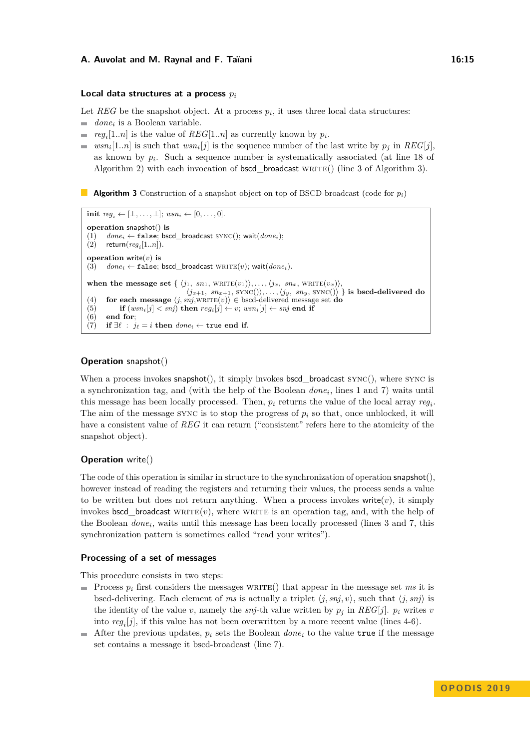#### **A. Auvolat and M. Raynal and F. Taïani 16:15 16:15**

#### **Local data structures at a process** *p<sup>i</sup>*

Let  $REG$  be the snapshot object. At a process  $p_i$ , it uses three local data structures:

- $\rightarrow$ *done<sup>i</sup>* is a Boolean variable.
- $reg_i[1..n]$  is the value of  $REG[1..n]$  as currently known by  $p_i$ .  $\equiv$
- $wsn_i[1..n]$  is such that  $wsn_i[j]$  is the sequence number of the last write by  $p_j$  in  $REG[j]$ , as known by  $p_i$ . Such a sequence number is systematically associated (at line 18 of Algorithm 2) with each invocation of  $bscd\_broadcast$  write() (line 3 of Algorithm 3).

**Algorithm 3** Construction of a snapshot object on top of BSCD-broadcast (code for *pi*)

```
init reg_i ← [\bot, \ldots, \bot]; wsn_i ← [0, \ldots, 0].
operation snapshot() is
       done_i \leftarrow false; bscd_broadcast \text{SYNC}); wait(done_i);
(2) return(\text{reg}_i[1..n]).operation write(v) is
(3) done_i \leftarrow false; bscd_broadcast \text{WRITE}(v); wait(done_i).
when the message set { \langle j_1, sn_1, \text{WRITE}(v_1) \rangle, \ldots, \langle j_x, sn_x, \text{WRITE}(v_x) \rangle,
                                        \langle j_{x+1}, sn_{x+1}, \text{SYNC}(\rangle), \ldots, \langle j_y, sn_y, \text{SYNC}(\rangle) } is bscd-delivered do
(4) for each message \langle j, snj, \text{WRITE}(v) \rangle \in \text{bscd-delivered message set do(5) if (wsn_i[j] < snj) then reg_i[j] \leftarrow v; wsn_i[j] \leftarrow snj end if (6) end for;
       end for:
(7) if ∃\ell : j_{\ell} = i then done_i \leftarrow \text{true} end if.
```
#### **Operation** snapshot()

When a process invokes  $s$ napshot $()$ , it simply invokes bscd broadcast  $S$ YNC $()$ , where  $S$  $YNC$  is a synchronization tag, and (with the help of the Boolean *done<sup>i</sup>* , lines 1 and 7) waits until this message has been locally processed. Then,  $p_i$  returns the value of the local array  $reg_i$ . The aim of the message SYNC is to stop the progress of  $p_i$  so that, once unblocked, it will have a consistent value of *REG* it can return ("consistent" refers here to the atomicity of the snapshot object).

#### **Operation** write()

The code of this operation is similar in structure to the synchronization of operation  $\mathsf{snapshot}(),$ however instead of reading the registers and returning their values, the process sends a value to be written but does not return anything. When a process invokes write $(v)$ , it simply invokes bscd\_broadcast w $RITE(v)$ , where writted is an operation tag, and, with the help of the Boolean *done<sub>i</sub>*, waits until this message has been locally processed (lines 3 and 7, this synchronization pattern is sometimes called "read your writes").

#### **Processing of a set of messages**

This procedure consists in two steps:

- Process  $p_i$  first considers the messages write () that appear in the message set *ms* it is bscd-delivering. Each element of *ms* is actually a triplet  $\langle j, snj, v \rangle$ , such that  $\langle j, snj \rangle$  is the identity of the value *v*, namely the *snj*-th value written by  $p_j$  in  $REG[j]$ .  $p_i$  writes *v* into *reg<sup>i</sup>* [*j*], if this value has not been overwritten by a more recent value (lines 4-6).
- After the previous updates,  $p_i$  sets the Boolean *done*<sub>i</sub> to the value true if the message set contains a message it bscd-broadcast (line 7).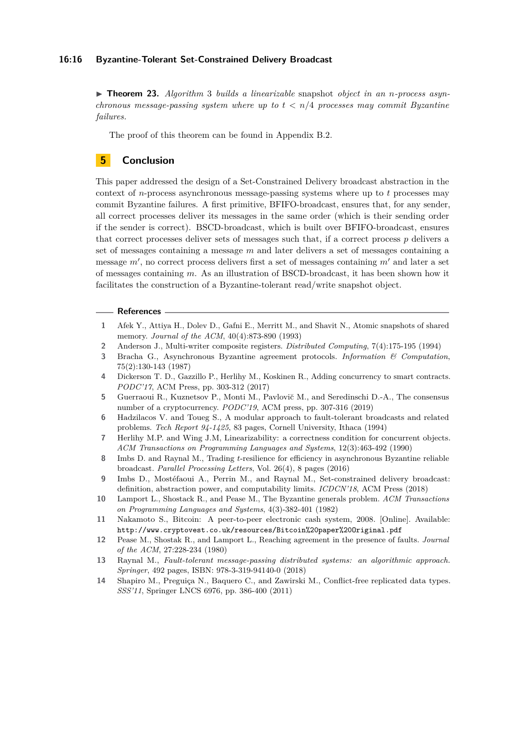#### **16:16 Byzantine-Tolerant Set-Constrained Delivery Broadcast**

▶ **Theorem 23.** *Algorithm 3 builds a linearizable* snapshot *object in an n-process asynchronous message-passing system where up to t < n/*4 *processes may commit Byzantine failures.*

The proof of this theorem can be found in Appendix B.2.

## **5 Conclusion**

This paper addressed the design of a Set-Constrained Delivery broadcast abstraction in the context of *n*-process asynchronous message-passing systems where up to *t* processes may commit Byzantine failures. A first primitive, BFIFO-broadcast, ensures that, for any sender, all correct processes deliver its messages in the same order (which is their sending order if the sender is correct). BSCD-broadcast, which is built over BFIFO-broadcast, ensures that correct processes deliver sets of messages such that, if a correct process *p* delivers a set of messages containing a message *m* and later delivers a set of messages containing a message  $m'$ , no correct process delivers first a set of messages containing  $m'$  and later a set of messages containing *m*. As an illustration of BSCD-broadcast, it has been shown how it facilitates the construction of a Byzantine-tolerant read/write snapshot object.

#### **References**

- **1** Afek Y., Attiya H., Dolev D., Gafni E., Merritt M., and Shavit N., Atomic snapshots of shared memory. *Journal of the ACM*, 40(4):873-890 (1993)
- **2** Anderson J., Multi-writer composite registers. *Distributed Computing*, 7(4):175-195 (1994)
- **3** Bracha G., Asynchronous Byzantine agreement protocols. *Information & Computation*, 75(2):130-143 (1987)
- **4** Dickerson T. D., Gazzillo P., Herlihy M., Koskinen R., Adding concurrency to smart contracts. *PODC'17*, ACM Press, pp. 303-312 (2017)
- **5** Guerraoui R., Kuznetsov P., Monti M., Pavlovi˘c M., and Seredinschi D.-A., The consensus number of a cryptocurrency. *PODC'19*, ACM press, pp. 307-316 (2019)
- **6** Hadzilacos V. and Toueg S., A modular approach to fault-tolerant broadcasts and related problems. *Tech Report 94-1425*, 83 pages, Cornell University, Ithaca (1994)
- **7** Herlihy M.P. and Wing J.M, Linearizability: a correctness condition for concurrent objects. *ACM Transactions on Programming Languages and Systems*, 12(3):463-492 (1990)
- **8** Imbs D. and Raynal M., Trading *t*-resilience for efficiency in asynchronous Byzantine reliable broadcast. *Parallel Processing Letters*, Vol. 26(4), 8 pages (2016)
- **9** Imbs D., Mostéfaoui A., Perrin M., and Raynal M., Set-constrained delivery broadcast: definition, abstraction power, and computability limits. *ICDCN'18*, ACM Press (2018)
- **10** Lamport L., Shostack R., and Pease M., The Byzantine generals problem. *ACM Transactions on Programming Languages and Systems*, 4(3)-382-401 (1982)
- **11** Nakamoto S., Bitcoin: A peer-to-peer electronic cash system, 2008. [Online]. Available: <http://www.cryptovest.co.uk/resources/Bitcoin%20paper%20Original.pdf>
- **12** Pease M., Shostak R., and Lamport L., Reaching agreement in the presence of faults. *Journal of the ACM*, 27:228-234 (1980)
- **13** Raynal M., *Fault-tolerant message-passing distributed systems: an algorithmic approach. Springer*, 492 pages, ISBN: 978-3-319-94140-0 (2018)
- **14** Shapiro M., Preguiça N., Baquero C., and Zawirski M., Conflict-free replicated data types. *SSS'11*, Springer LNCS 6976, pp. 386-400 (2011)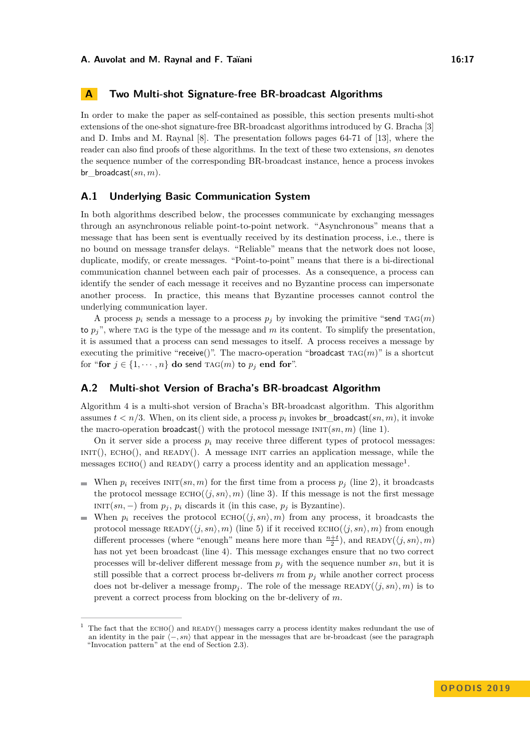## **A Two Multi-shot Signature-free BR-broadcast Algorithms**

In order to make the paper as self-contained as possible, this section presents multi-shot extensions of the one-shot signature-free BR-broadcast algorithms introduced by G. Bracha [3] and D. Imbs and M. Raynal [8]. The presentation follows pages 64-71 of [13], where the reader can also find proofs of these algorithms. In the text of these two extensions, *sn* denotes the sequence number of the corresponding BR-broadcast instance, hence a process invokes br\_broadcast(*sn, m*).

## **A.1 Underlying Basic Communication System**

In both algorithms described below, the processes communicate by exchanging messages through an asynchronous reliable point-to-point network. "Asynchronous" means that a message that has been sent is eventually received by its destination process, i.e., there is no bound on message transfer delays. "Reliable" means that the network does not loose, duplicate, modify, or create messages. "Point-to-point" means that there is a bi-directional communication channel between each pair of processes. As a consequence, a process can identify the sender of each message it receives and no Byzantine process can impersonate another process. In practice, this means that Byzantine processes cannot control the underlying communication layer.

A process  $p_i$  sends a message to a process  $p_j$  by invoking the primitive "send TAG(*m*) to  $p_j$ <sup>"</sup>, where that is the type of the message and m its content. To simplify the presentation, it is assumed that a process can send messages to itself. A process receives a message by executing the primitive "receive()". The macro-operation "broadcast  $TAG(m)$ " is a shortcut for "for  $j \in \{1, \dots, n\}$  do send  $\text{TAG}(m)$  to  $p_j$  end for".

## **A.2 Multi-shot Version of Bracha's BR-broadcast Algorithm**

Algorithm 4 is a multi-shot version of Bracha's BR-broadcast algorithm. This algorithm assumes  $t < n/3$ . When, on its client side, a process  $p_i$  invokes  $\mathsf{br\_broadcast}(sn, m)$ , it invoke the macro-operation **broadcast**() with the protocol message  $INT(sn, m)$  (line 1).

On it server side a process  $p_i$  may receive three different types of protocol messages:  $INT(), ECHO(), and READV(), A message INT carries an application message, while the$ messages  $\text{ECHO}()$  and  $\text{READV}()$  carry a process identity and an application message<sup>1</sup>.

- When  $p_i$  receives  $\text{INIT}(sn, m)$  for the first time from a process  $p_j$  (line 2), it broadcasts the protocol message  $\text{ECHO}(\langle j, sn \rangle, m)$  (line 3). If this message is not the first message  $INT(sn, -)$  from  $p_j, p_i$  discards it (in this case,  $p_j$  is Byzantine).
- When  $p_i$  receives the protocol  $ECHO(\langle j, sn \rangle, m)$  from any process, it broadcasts the protocol message  $\text{READV}(\langle j, sn \rangle, m)$  (line 5) if it received  $\text{ECHO}(\langle j, sn \rangle, m)$  from enough different processes (where "enough" means here more than  $\frac{n+t}{2}$ ), and READY( $\langle j, sn \rangle, m$ ) has not yet been broadcast (line 4). This message exchanges ensure that no two correct processes will br-deliver different message from *p<sup>j</sup>* with the sequence number *sn*, but it is still possible that a correct process br-delivers  $m$  from  $p_j$  while another correct process does not br-deliver a message from  $p_j$ . The role of the message  $READY(\langle j, sn \rangle, m)$  is to prevent a correct process from blocking on the br-delivery of *m*.

<sup>1</sup> The fact that the echo() and ready() messages carry a process identity makes redundant the use of an identity in the pair  $\langle -, sn \rangle$  that appear in the messages that are br-broadcast (see the paragraph "Invocation pattern" at the end of Section 2.3).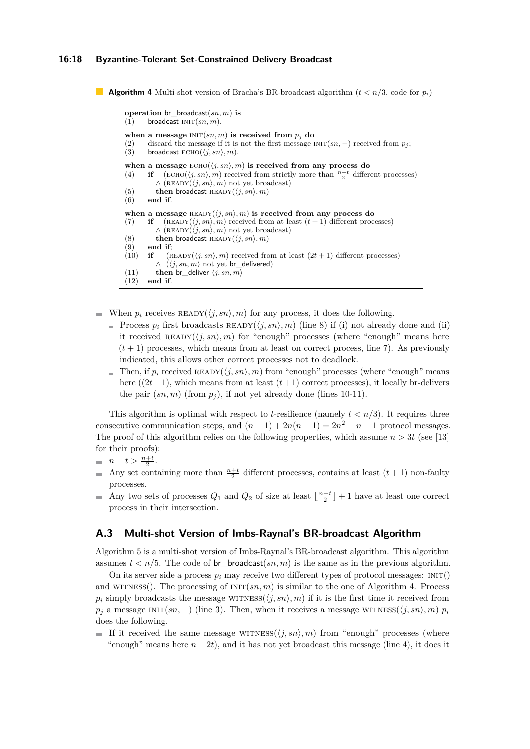#### **16:18 Byzantine-Tolerant Set-Constrained Delivery Broadcast**

```
Algorithm 4 Multi-shot version of Bracha's BR-broadcast algorithm (t < n/3, code for p_i)
```

```
operation br_broadcast(sn, m) is
(1) broadcast INT(sn, m).
when a message INT(sn, m) is received from p_j do
(2) discard the message if it is not the first message INT(sn, -) received from p_j;<br>(3) broadcast ECHO(\langle j, sn \rangle, m).
        broadcast \mathrm{ECHO}(\langle i, sn \rangle, m).
when a message ECHO(\langle j, sn \rangle, m) is received from any process do
(4) if (\text{ECHO}(\langle j, sn \rangle, m) received from strictly more than \frac{n+t}{2} different processes)
           \wedge (READY(\langle j, sn \rangle, m) not yet broadcast)
(5) then broadcast READV(\langle j, sn \rangle, m)<br>(6) end if.
        end if.
when a message READV(\langle j, sn \rangle, m) is received from any process do
(7) if (\text{READV}(\langle j, sn \rangle, m) received from at least (t + 1) different processes)
           \wedge (READY(\langle j, sn \rangle, m) not yet broadcast)
(8) then broadcast \text{READV}(\langle j, sn \rangle, m)(9) end if:
(10) if (READY(\langle j, sn \rangle, m) received from at least (2t + 1) different processes)
           \wedge (\langle j, sn, m \rangle not yet br delivered)
(11) then br deliver \langle j, sn, m \rangle(12) end if.
```
- When  $p_i$  receives  $\text{READV}(\langle j, sn \rangle, m)$  for any process, it does the following.  $\mathcal{L}_{\mathcal{A}}$ 
	- Process  $p_i$  first broadcasts  $\text{READY}(\langle j, sn \rangle, m)$  (line 8) if (i) not already done and (ii) it received  $\text{READV}(\langle i, sn \rangle, m)$  for "enough" processes (where "enough" means here  $(t+1)$  processes, which means from at least on correct process, line 7). As previously indicated, this allows other correct processes not to deadlock.
	- Then, if  $p_i$  received  $\text{READV}(\langle i, sn \rangle, m)$  from "enough" processes (where "enough" means here  $((2t+1)$ , which means from at least  $(t+1)$  correct processes), it locally br-delivers the pair  $(sn, m)$  (from  $p<sub>j</sub>$ ), if not yet already done (lines 10-11).

This algorithm is optimal with respect to *t*-resilience (namely  $t < n/3$ ). It requires three consecutive communication steps, and  $(n-1) + 2n(n-1) = 2n^2 - n - 1$  protocol messages. The proof of this algorithm relies on the following properties, which assume  $n > 3t$  (see [13] for their proofs):

- $n t > \frac{n + t}{2}$ .
- Any set containing more than  $\frac{n+t}{2}$  different processes, contains at least  $(t+1)$  non-faulty  $\equiv$ processes.
- Any two sets of processes  $Q_1$  and  $Q_2$  of size at least  $\lfloor \frac{n+t}{2} \rfloor + 1$  have at least one correct  $\sim$ process in their intersection.

## **A.3 Multi-shot Version of Imbs-Raynal's BR-broadcast Algorithm**

Algorithm 5 is a multi-shot version of Imbs-Raynal's BR-broadcast algorithm. This algorithm assumes  $t < n/5$ . The code of br\_broadcast $(sn, m)$  is the same as in the previous algorithm.

On its server side a process  $p_i$  may receive two different types of protocol messages:  $INT()$ and WITNESS(). The processing of  $INT(sn, m)$  is similar to the one of Algorithm 4. Process  $p_i$  simply broadcasts the message WITNESS( $\langle j, sn \rangle$ , m) if it is the first time it received from  $p_j$  a message INIT(*sn,* −) (line 3). Then, when it receives a message WITNESS( $\langle j, sn \rangle$ *, m*)  $p_i$ does the following.

If it received the same message with  $\langle j, sn \rangle$ , m from "enough" processes (where "enough" means here  $n - 2t$ ), and it has not yet broadcast this message (line 4), it does it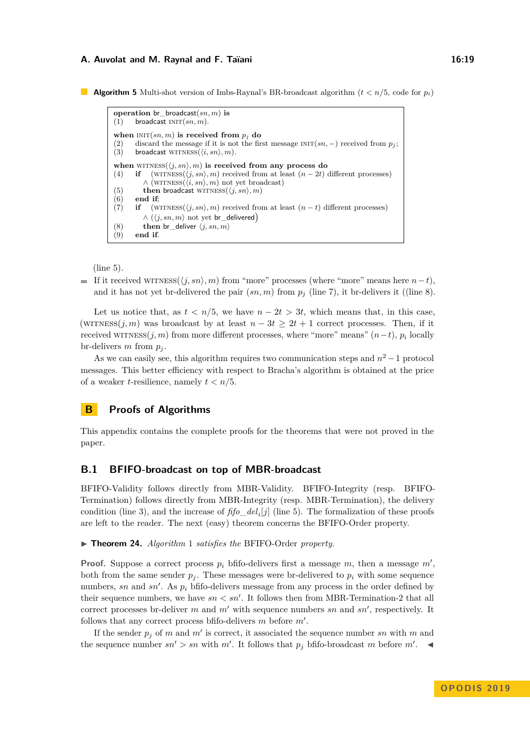#### **A. Auvolat and M. Raynal and F. Taïani 16:19 16:19**

**Algorithm 5** Multi-shot version of Imbs-Raynal's BR-broadcast algorithm  $(t < n/5$ , code for  $p_i$ )

```
operation br_broadcast(sn, m) is
(1) broadcast INT(sn, m).
when INT(sn, m) is received from p_j do
(2) discard the message if it is not the first message INT(sn, -) received from p_j;<br>(3) broadcast WITNESS((i, sn), m).
       broadcast WITNESS(i, sn), m.
when WITNESS(\langle j, sn \rangle, m) is received from any process do
(4) if (WITNESS(\langle j, sn \rangle, m) received from at least (n - 2t) different processes)
           \wedge (WITNESS(\langle i, sn \rangle, m) not yet broadcast)
(5) then broadcast WITNESS(\langle j, sn \rangle, m)<br>(6) end if;
        (6) end if;
(7) if (WITNESS(\langle j, sn \rangle, m) received from at least (n - t) different processes)
           \wedge (\langle j, sn, m \rangle not yet br delivered)
(8) then br_deliver \langle j, sn, m \rangle<br>(9) end if.
        (9) end if.
```
(line 5).

**If it received WITNESS**( $\langle j, sn \rangle$ , *m*) from "more" processes (where "more" means here *n*−*t*), and it has not yet br-delivered the pair  $(sn, m)$  from  $p_j$  (line 7), it br-delivers it ((line 8).

Let us notice that, as  $t < n/5$ , we have  $n - 2t > 3t$ , which means that, in this case, (WITNESS( $j, m$ ) was broadcast by at least  $n - 3t \geq 2t + 1$  correct processes. Then, if it received wITNESS $(j, m)$  from more different processes, where "more" means"  $(n-t)$ ,  $p_i$  locally br-delivers  $m$  from  $p_i$ .

As we can easily see, this algorithm requires two communication steps and  $n^2 - 1$  protocol messages. This better efficiency with respect to Bracha's algorithm is obtained at the price of a weaker *t*-resilience, namely *t < n/*5.

## **B Proofs of Algorithms**

This appendix contains the complete proofs for the theorems that were not proved in the paper.

#### **B.1 BFIFO-broadcast on top of MBR-broadcast**

BFIFO-Validity follows directly from MBR-Validity. BFIFO-Integrity (resp. BFIFO-Termination) follows directly from MBR-Integrity (resp. MBR-Termination), the delivery condition (line 3), and the increase of  $\hat{f}$  *fo*<sub>*del<sub>i</sub>*[*j*] (line 5). The formalization of these proofs</sub> are left to the reader. The next (easy) theorem concerns the BFIFO-Order property.

▶ **Theorem 24.** *Algorithm* 1 *satisfies the* BFIFO-Order *property.* 

**Proof.** Suppose a correct process  $p_i$  bfifo-delivers first a message  $m$ , then a message  $m'$ , both from the same sender  $p_j$ . These messages were br-delivered to  $p_i$  with some sequence numbers,  $sn$  and  $sn'$ . As  $p_i$  bfifo-delivers message from any process in the order defined by their sequence numbers, we have  $sn < sn'$ . It follows then from MBR-Termination-2 that all correct processes br-deliver  $m$  and  $m'$  with sequence numbers  $sn$  and  $sn'$ , respectively. It follows that any correct process bfifo-delivers  $m$  before  $m'$ .

If the sender  $p_j$  of  $m$  and  $m'$  is correct, it associated the sequence number  $sn$  with  $m$  and the sequence number  $sn' > sn$  with  $m'$ . It follows that  $p_j$  bfifo-broadcast  $m$  before  $m'$ .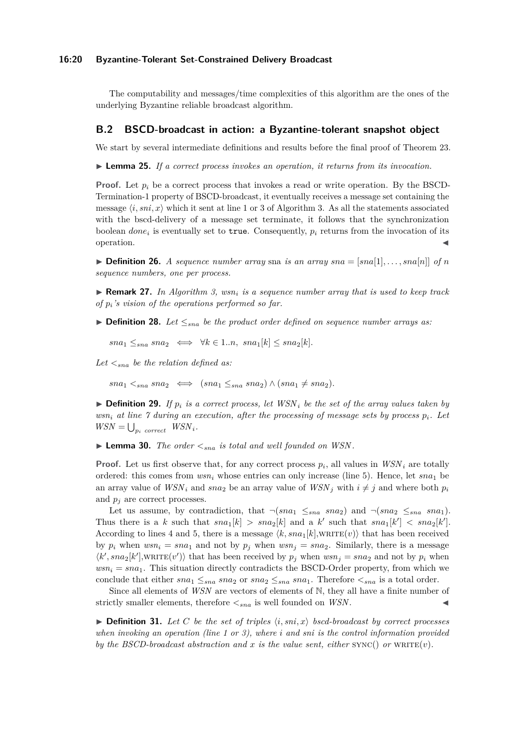#### **16:20 Byzantine-Tolerant Set-Constrained Delivery Broadcast**

The computability and messages/time complexities of this algorithm are the ones of the underlying Byzantine reliable broadcast algorithm.

#### **B.2 BSCD-broadcast in action: a Byzantine-tolerant snapshot object**

We start by several intermediate definitions and results before the final proof of Theorem 23.

I **Lemma 25.** *If a correct process invokes an operation, it returns from its invocation.*

**Proof.** Let  $p_i$  be a correct process that invokes a read or write operation. By the BSCD-Termination-1 property of BSCD-broadcast, it eventually receives a message set containing the message  $\langle i, \text{sni}, x \rangle$  which it sent at line 1 or 3 of Algorithm 3. As all the statements associated with the bscd-delivery of a message set terminate, it follows that the synchronization boolean  $done_i$  is eventually set to true. Consequently,  $p_i$  returns from the invocation of its  $\bullet$  operation.

 $\triangleright$  **Definition 26.** *A sequence number array* sna *is an array*  $sna = [sna[1], \ldots, sna[n]]$  of *n sequence numbers, one per process.*

I **Remark 27.** *In Algorithm 3, wsn<sup>i</sup> is a sequence number array that is used to keep track of pi's vision of the operations performed so far.*

**► Definition 28.** Let  $\leq_{sna}$  be the product order defined on sequence number arrays as:

 $sna_1 \leq_{sna} sna_2 \iff \forall k \in 1..n, \; sna_1[k] \leq sna_2[k].$ 

*Let <sna be the relation defined as:*

 $sna_1 \leq_{sna} sna_2 \iff (sna_1 \leq_{sna} sna_2) \land (sna_1 \neq sna_2).$ 

 $\triangleright$  **Definition 29.** *If*  $p_i$  *is a correct process, let WSN<sub>i</sub> be the set of the array values taken by wsn<sup>i</sup> at line 7 during an execution, after the processing of message sets by process pi. Let*  $WSN = \bigcup_{p_i \text{ correct}} \text{WSN}_i$ .

 $\blacktriangleright$  **Lemma 30.** *The order*  $\lt_{sna}$  *is total and well founded on WSN.* 

**Proof.** Let us first observe that, for any correct process  $p_i$ , all values in  $WSN_i$  are totally ordered: this comes from  $wsn_i$  whose entries can only increase (line 5). Hence, let  $sna_1$  be an array value of  $WSN_i$  and  $sna_2$  be an array value of  $WSN_j$  with  $i \neq j$  and where both  $p_i$ and  $p_j$  are correct processes.

Let us assume, by contradiction, that  $\neg (sna_1 \leq_{sna} sna_2)$  and  $\neg (sna_2 \leq_{sna} sna_1)$ . Thus there is a *k* such that  $sna_1[k] > sna_2[k]$  and a *k'* such that  $sna_1[k'] < sna_2[k']$ . According to lines 4 and 5, there is a message  $\langle k, sna_1[k], \text{WRITE}(v) \rangle$  that has been received by  $p_i$  when  $wsn_i = sna_1$  and not by  $p_j$  when  $wsn_j = sna_2$ . Similarly, there is a message  $\langle k', sna_2[k']$ , write  $(v')\rangle$  that has been received by  $p_j$  when  $wsn_j = sna_2$  and not by  $p_i$  when  $wsn<sub>i</sub> = sna<sub>1</sub>$ . This situation directly contradicts the BSCD-Order property, from which we conclude that either  $sna_1 \leq_{sna} sna_2$  or  $sna_2 \leq_{sna} sna_1$ . Therefore  $\lt_{sna}$  is a total order.

Since all elements of *WSN* are vectors of elements of N, they all have a finite number of strictly smaller elements, therefore  $\lt_{sna}$  is well founded on *WSN*.

 $\triangleright$  **Definition 31.** Let C be the set of triples  $\langle i, \text{sni}, x \rangle$  bscd-broadcast by correct processes *when invoking an operation (line 1 or 3), where i and sni is the control information provided by the BSCD-broadcast abstraction and x is the value sent, either*  $\text{SYNC}()$  *or*  $\text{WRITE}(v)$ *.*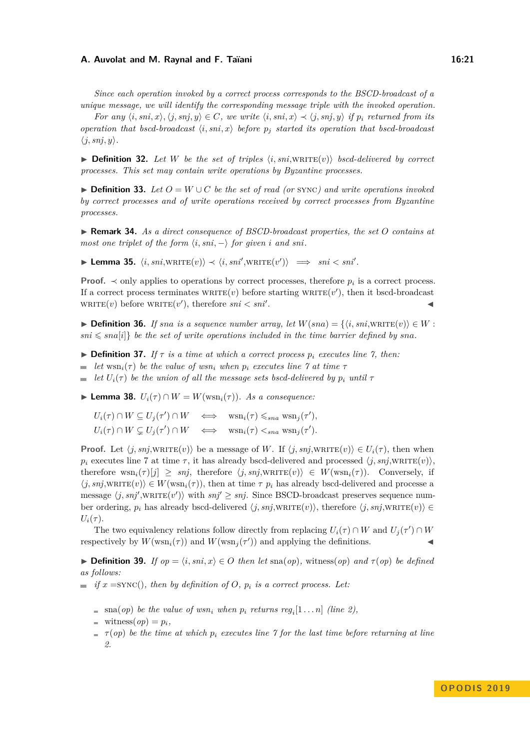#### **A. Auvolat and M. Raynal and F. Taïani 16:21**

*Since each operation invoked by a correct process corresponds to the BSCD-broadcast of a unique message, we will identify the corresponding message triple with the invoked operation.*

For any  $\langle i, sni, x \rangle, \langle j, snj, y \rangle \in C$ , we write  $\langle i, sni, x \rangle \prec \langle j, snj, y \rangle$  if  $p_i$  returned from its *operation that bscd-broadcast*  $\langle i, \text{sni}, x \rangle$  *before*  $p_j$  *started its operation that bscd-broadcast*  $\langle j, snj, y \rangle$ *.* 

 $\triangleright$  **Definition 32.** Let W be the set of triples  $\langle i, \text{sni}, \text{WRITE}(v) \rangle$  bscd-delivered by correct *processes. This set may contain write operations by Byzantine processes.*

**► Definition 33.** Let  $O = W \cup C$  be the set of read (or sync) and write operations invoked *by correct processes and of write operations received by correct processes from Byzantine processes.*

I **Remark 34.** *As a direct consequence of BSCD-broadcast properties, the set O contains at most one triplet of the form*  $\langle i, sni, - \rangle$  *for given i and sni*.

▶ **Lemma 35.**  $\langle i, sni, \text{WRITE}(v) \rangle \prec \langle i, sni', \text{WRITE}(v') \rangle \implies sni < sni'.$ 

**Proof.**  $\prec$  only applies to operations by correct processes, therefore  $p_i$  is a correct process. If a correct process terminates  $\text{wRITE}(v)$  before starting  $\text{wRITE}(v')$ , then it bscd-broadcast  $\text{wRITE}(v)$  before  $\text{wRITE}(v')$ , therefore  $\text{sni} < \text{sni}$ . J

**► Definition 36.** *If sna is a sequence number array, let*  $W(sna) = \{ \langle i, sni, \text{WRITE}(v) \rangle \in W :$  $sin \leqslant sna[i]$  *be the set of write operations included in the time barrier defined by sna.* 

- $\triangleright$  **Definition 37.** *If*  $\tau$  *is a time at which a correct process*  $p_i$  *executes line* 7*, then:*
- *let*  $w\sin(i\tau)$  *be the value of*  $w\sin(i\tau)$  *when*  $p_i$  *executes line*  $\tau$  *at time*  $\tau$
- $\equiv$  *let*  $U_i(\tau)$  *be the union of all the message sets bscd-delivered by*  $p_i$  *until*  $\tau$

 $▶$  **Lemma 38.**  $U_i(\tau) \cap W = W(\text{wsn}_i(\tau))$ . As a consequence:

 $U_i(\tau) \cap W \subseteq U_j(\tau') \cap W \iff \text{wsn}_i(\tau) \leqslant_{sna} \text{wsn}_j(\tau'),$  $U_i(\tau) \cap W \subsetneq U_j(\tau') \cap W \iff \text{wsn}_i(\tau) \leq_{sna} \text{wsn}_j(\tau').$ 

**Proof.** Let  $\langle j, snj, \text{wRITE}(v) \rangle$  be a message of *W*. If  $\langle j, snj, \text{wRITE}(v) \rangle \in U_i(\tau)$ , then when  $p_i$  executes line 7 at time  $\tau$ , it has already bscd-delivered and processed  $\langle j, snj, \text{WRITE}(v) \rangle$ , therefore  $\text{wsn}_i(\tau)[j] \geq \text{sn}_i$ , therefore  $\langle j, \text{sn}_i, \text{wRITE}(v) \rangle \in W(\text{wsn}_i(\tau))$ . Conversely, if  $\langle j, snj, \text{WRITE}(v) \rangle \in W(\text{wsn}_i(\tau))$ , then at time  $\tau$   $p_i$  has already bscd-delivered and processe a message  $\langle j, snj', \text{WRITE}(v') \rangle$  with  $snj' \geq snj$ . Since BSCD-broadcast preserves sequence number ordering,  $p_i$  has already bscd-delivered  $\langle j, snj, \text{WRITE}(v) \rangle$ , therefore  $\langle j, snj, \text{WRITE}(v) \rangle \in$  $U_i(\tau)$ .

The two equivalency relations follow directly from replacing  $U_i(\tau) \cap W$  and  $U_j(\tau') \cap W$ respectively by  $W(\text{wsn}_i(\tau))$  and  $W(\text{wsn}_j(\tau'))$  and applying the definitions.

**► Definition 39.** *If*  $op = \langle i, sni, x \rangle \in O$  *then let* sna(*op*)*,* witness(*op*) *and*  $\tau(op)$  *be defined as follows:*

- $\equiv$  *if*  $x =$ SYNC(), then by definition of O,  $p_i$  is a correct process. Let:
	- $\text{sna}(op)$  *be the value of wsn<sub>i</sub>* when  $p_i$  returns  $reg_i[1 \dots n]$  (line 2),
	- $\blacksquare$  witness(*op*) =  $p_i$ ,
	- $\mathbf{r} = \tau$  (*op*) *be the time at which*  $p_i$  *executes line*  $\gamma$  *for the last time before returning at line 2.*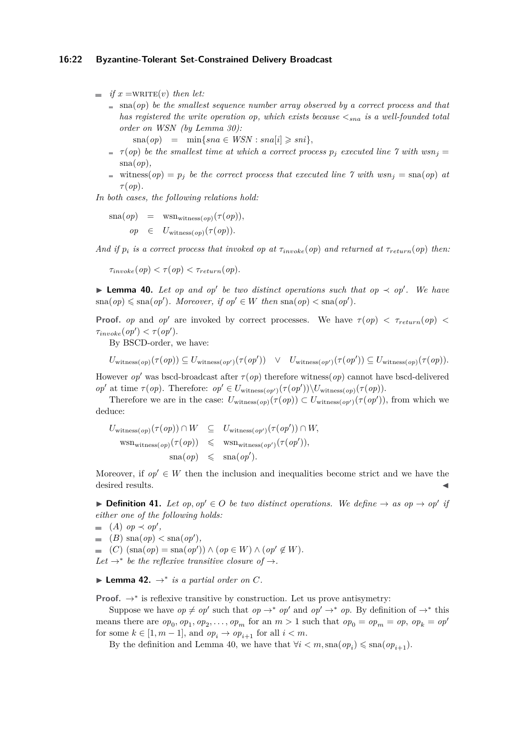$\blacksquare$  *if*  $x = \text{WRITE}(v)$  *then let:* 

 $\Box$  sna(*op*) *be the smallest sequence number array observed by a correct process and that has registered the write operation op, which exists because <sna is a well-founded total order on WSN (by Lemma 30):*

$$
sna(op) = \min\{sna \in WSN : sna[i] \geq sni\},\
$$

- $\tau$  (*op*) *be the smallest time at which a correct process*  $p_j$  *executed line*  $\gamma$  with  $wsn_j =$ sna(*op*)*,*
- witness( $op$ ) =  $p_j$  *be the correct process that executed line*  $7$  *with*  $wsn_j = \text{sna}(op)$  *at τ* (*op*)*.*

*In both cases, the following relations hold:*

 $\text{sna}(op) = \text{wsn}_{\text{witness}(op)}(\tau(op)),$  $op \in U_{\text{witness}(op)}(\tau(op)).$ 

*And if*  $p_i$  *is a correct process that invoked op at*  $\tau_{invoke}(op)$  *and returned at*  $\tau_{return}(op)$  *then:* 

 $\tau_{invoke}(op) < \tau(op) < \tau_{return}(op)$ .

**► Lemma 40.** Let op and op' be two distinct operations such that op  $\prec$  op'. We have  $\text{sna}(op) \leq \text{sna}(op')$ *. Moreover, if*  $op' \in W$  *then*  $\text{sna}(op) < \text{sna}(op')$ *.* 

**Proof.** *op* and *op*<sup> $\prime$ </sup> are invoked by correct processes. We have  $\tau$ (*op*)  $\lt$   $\tau$ <sub>return</sub>(*op*)  $\lt$  $\tau_{invoke}(op') < \tau(op').$ 

By BSCD-order, we have:

$$
U_{\text{witness}(op)}(\tau(op)) \subseteq U_{\text{witness}(op')}(\tau(op')) \quad \lor \quad U_{\text{witness}(op')}(\tau(op')) \subseteq U_{\text{witness}(op)}(\tau(op)).
$$

However *op*<sup>0</sup> was bscd-broadcast after *τ* (*op*) therefore witness(*op*) cannot have bscd-delivered  $op'$  at time  $\tau(op)$ . Therefore:  $op' \in U_{\text{witness}(op')}(\tau(op'))\setminus U_{\text{witness}(op)}(\tau(op)).$ 

Therefore we are in the case:  $U_{\text{witness}(op)}(\tau(op)) \subset U_{\text{witness}(op')}(\tau(op'))$ , from which we deduce:

$$
U_{\text{witness}(op)}(\tau(op)) \cap W \subseteq U_{\text{witness}(op')}(\tau(op')) \cap W,
$$
  
\n
$$
\text{wsn}_{\text{witness}(op)}(\tau(op)) \leq \text{wsn}_{\text{witness}(op')}(\tau(op')),
$$
  
\n
$$
\text{ssa}(op) \leq \text{sna}(op').
$$

Moreover, if  $op' \in W$  then the inclusion and inequalities become strict and we have the desired results.

▶ **Definition 41.** Let  $op, op' \in O$  be two distinct operations. We define  $\rightarrow$  as  $op \rightarrow op'$  if *either one of the following holds:*

\n- (A) 
$$
op \prec op'
$$
,
\n- (B)  $sna(op) < sna(op')$ ,
\n- (C)  $(sna(op) = sna(op')) \land (op \in W) \land (op' \notin W)$ .
\n- Let  $\rightarrow^*$  be the reflexive transitive closure of  $\rightarrow$ .
\n

▶ **Lemma 42.**  $\rightarrow^*$  *is a partial order on C.* 

**Proof.**  $\rightarrow^*$  is reflexive transitive by construction. Let us prove antisymetry:

Suppose we have  $op \neq op'$  such that  $op \to^* op'$  and  $op' \to^* op$ . By definition of  $\to^*$  this means there are  $op_0, op_1, op_2, \ldots, op_m$  for an  $m > 1$  such that  $op_0 = op_m = op$ ,  $op_k = op'$ for some  $k \in [1, m-1]$ , and  $op_i \to op_{i+1}$  for all  $i < m$ .

By the definition and Lemma 40, we have that  $\forall i < m$ , sna $(op_i) \leq \text{sna}(op_{i+1})$ .